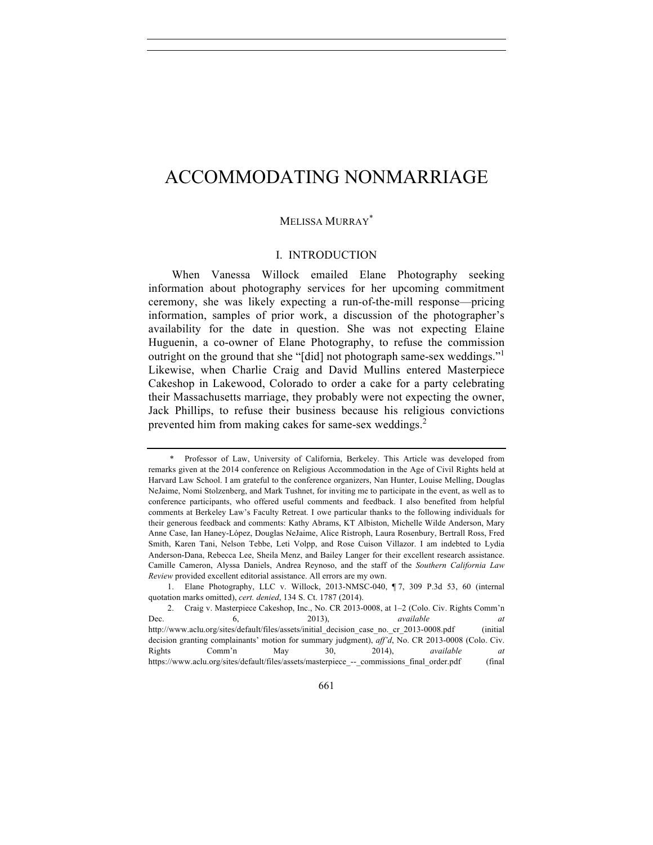# ACCOMMODATING NONMARRIAGE

## MELISSA MURRAY\*

## I. INTRODUCTION

When Vanessa Willock emailed Elane Photography seeking information about photography services for her upcoming commitment ceremony, she was likely expecting a run-of-the-mill response—pricing information, samples of prior work, a discussion of the photographer's availability for the date in question. She was not expecting Elaine Huguenin, a co-owner of Elane Photography, to refuse the commission outright on the ground that she "[did] not photograph same-sex weddings."<sup>1</sup> Likewise, when Charlie Craig and David Mullins entered Masterpiece Cakeshop in Lakewood, Colorado to order a cake for a party celebrating their Massachusetts marriage, they probably were not expecting the owner, Jack Phillips, to refuse their business because his religious convictions prevented him from making cakes for same-sex weddings.<sup>2</sup>

Professor of Law, University of California, Berkeley. This Article was developed from remarks given at the 2014 conference on Religious Accommodation in the Age of Civil Rights held at Harvard Law School. I am grateful to the conference organizers, Nan Hunter, Louise Melling, Douglas NeJaime, Nomi Stolzenberg, and Mark Tushnet, for inviting me to participate in the event, as well as to conference participants, who offered useful comments and feedback. I also benefited from helpful comments at Berkeley Law's Faculty Retreat. I owe particular thanks to the following individuals for their generous feedback and comments: Kathy Abrams, KT Albiston, Michelle Wilde Anderson, Mary Anne Case, Ian Haney-López, Douglas NeJaime, Alice Ristroph, Laura Rosenbury, Bertrall Ross, Fred Smith, Karen Tani, Nelson Tebbe, Leti Volpp, and Rose Cuison Villazor. I am indebted to Lydia Anderson-Dana, Rebecca Lee, Sheila Menz, and Bailey Langer for their excellent research assistance. Camille Cameron, Alyssa Daniels, Andrea Reynoso, and the staff of the *Southern California Law Review* provided excellent editorial assistance. All errors are my own.

<sup>1.</sup> Elane Photography, LLC v. Willock, 2013-NMSC-040, ¶ 7, 309 P.3d 53, 60 (internal quotation marks omitted), *cert. denied*, 134 S. Ct. 1787 (2014).

<sup>2.</sup> Craig v. Masterpiece Cakeshop, Inc., No. CR 2013-0008, at 1–2 (Colo. Civ. Rights Comm'n Dec. 6, 2013), *available at* http://www.aclu.org/sites/default/files/assets/initial\_decision\_case\_no.\_cr\_2013-0008.pdf (initial decision granting complainants' motion for summary judgment), *aff'd*, No. CR 2013-0008 (Colo. Civ. Rights Comm'n May 30, 2014), *available at* https://www.aclu.org/sites/default/files/assets/masterpiece\_--\_commissions\_final\_order.pdf (final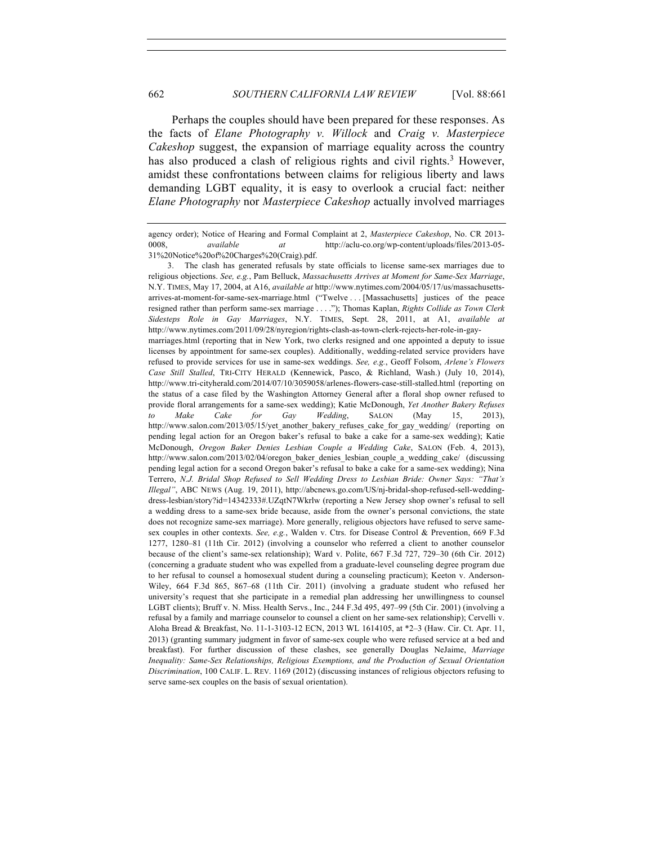Perhaps the couples should have been prepared for these responses. As the facts of *Elane Photography v. Willock* and *Craig v. Masterpiece Cakeshop* suggest, the expansion of marriage equality across the country has also produced a clash of religious rights and civil rights.<sup>3</sup> However, amidst these confrontations between claims for religious liberty and laws demanding LGBT equality, it is easy to overlook a crucial fact: neither *Elane Photography* nor *Masterpiece Cakeshop* actually involved marriages

3. The clash has generated refusals by state officials to license same-sex marriages due to religious objections. *See, e.g.*, Pam Belluck, *Massachusetts Arrives at Moment for Same-Sex Marriage*, N.Y. TIMES, May 17, 2004, at A16, *available at* http://www.nytimes.com/2004/05/17/us/massachusettsarrives-at-moment-for-same-sex-marriage.html ("Twelve . . . [Massachusetts] justices of the peace resigned rather than perform same-sex marriage . . . ."); Thomas Kaplan, *Rights Collide as Town Clerk Sidesteps Role in Gay Marriages*, N.Y. TIMES, Sept. 28, 2011, at A1, *available at* http://www.nytimes.com/2011/09/28/nyregion/rights-clash-as-town-clerk-rejects-her-role-in-gaymarriages.html (reporting that in New York, two clerks resigned and one appointed a deputy to issue licenses by appointment for same-sex couples). Additionally, wedding-related service providers have refused to provide services for use in same-sex weddings. *See, e.g.*, Geoff Folsom, *Arlene's Flowers Case Still Stalled*, TRI-CITY HERALD (Kennewick, Pasco, & Richland, Wash.) (July 10, 2014), http://www.tri-cityherald.com/2014/07/10/3059058/arlenes-flowers-case-still-stalled.html (reporting on the status of a case filed by the Washington Attorney General after a floral shop owner refused to provide floral arrangements for a same-sex wedding); Katie McDonough, *Yet Another Bakery Refuses to Make Cake for Gay Wedding*, SALON (May 15, 2013), http://www.salon.com/2013/05/15/yet\_another\_bakery\_refuses\_cake\_for\_gay\_wedding/ (reporting on pending legal action for an Oregon baker's refusal to bake a cake for a same-sex wedding); Katie McDonough, *Oregon Baker Denies Lesbian Couple a Wedding Cake*, SALON (Feb. 4, 2013), http://www.salon.com/2013/02/04/oregon\_baker\_denies\_lesbian\_couple\_a\_wedding\_cake/ (discussing pending legal action for a second Oregon baker's refusal to bake a cake for a same-sex wedding); Nina Terrero, *N.J. Bridal Shop Refused to Sell Wedding Dress to Lesbian Bride: Owner Says: "That's Illegal"*, ABC NEWS (Aug. 19, 2011), http://abcnews.go.com/US/nj-bridal-shop-refused-sell-weddingdress-lesbian/story?id=14342333#.UZqtN7Wkrlw (reporting a New Jersey shop owner's refusal to sell a wedding dress to a same-sex bride because, aside from the owner's personal convictions, the state does not recognize same-sex marriage). More generally, religious objectors have refused to serve samesex couples in other contexts. *See, e.g.*, Walden v. Ctrs. for Disease Control & Prevention, 669 F.3d 1277, 1280–81 (11th Cir. 2012) (involving a counselor who referred a client to another counselor because of the client's same-sex relationship); Ward v. Polite, 667 F.3d 727, 729–30 (6th Cir. 2012) (concerning a graduate student who was expelled from a graduate-level counseling degree program due to her refusal to counsel a homosexual student during a counseling practicum); Keeton v. Anderson-Wiley, 664 F.3d 865, 867–68 (11th Cir. 2011) (involving a graduate student who refused her university's request that she participate in a remedial plan addressing her unwillingness to counsel LGBT clients); Bruff v. N. Miss. Health Servs., Inc., 244 F.3d 495, 497–99 (5th Cir. 2001) (involving a refusal by a family and marriage counselor to counsel a client on her same-sex relationship); Cervelli v. Aloha Bread & Breakfast, No. 11-1-3103-12 ECN, 2013 WL 1614105, at \*2–3 (Haw. Cir. Ct. Apr. 11, 2013) (granting summary judgment in favor of same-sex couple who were refused service at a bed and breakfast). For further discussion of these clashes, see generally Douglas NeJaime, *Marriage Inequality: Same-Sex Relationships, Religious Exemptions, and the Production of Sexual Orientation Discrimination*, 100 CALIF. L. REV. 1169 (2012) (discussing instances of religious objectors refusing to serve same-sex couples on the basis of sexual orientation).

agency order); Notice of Hearing and Formal Complaint at 2, *Masterpiece Cakeshop*, No. CR 2013- 0008, *available at* http://aclu-co.org/wp-content/uploads/files/2013-05- 31%20Notice%20of%20Charges%20(Craig).pdf.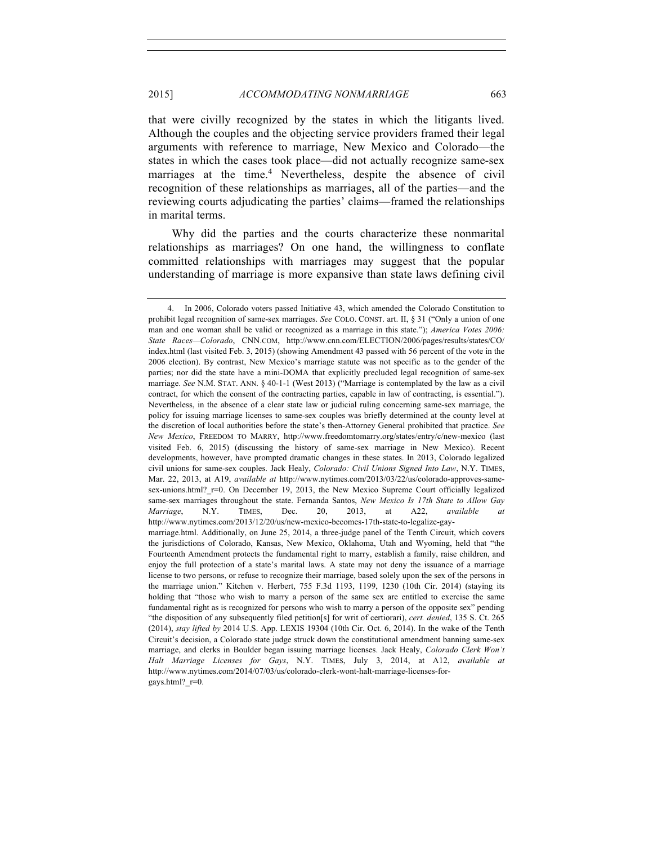that were civilly recognized by the states in which the litigants lived. Although the couples and the objecting service providers framed their legal arguments with reference to marriage, New Mexico and Colorado—the states in which the cases took place—did not actually recognize same-sex marriages at the time.<sup>4</sup> Nevertheless, despite the absence of civil recognition of these relationships as marriages, all of the parties—and the reviewing courts adjudicating the parties' claims—framed the relationships in marital terms.

Why did the parties and the courts characterize these nonmarital relationships as marriages? On one hand, the willingness to conflate committed relationships with marriages may suggest that the popular understanding of marriage is more expansive than state laws defining civil

<sup>4.</sup> In 2006, Colorado voters passed Initiative 43, which amended the Colorado Constitution to prohibit legal recognition of same-sex marriages. *See* COLO. CONST. art. II, § 31 ("Only a union of one man and one woman shall be valid or recognized as a marriage in this state."); *America Votes 2006: State Races—Colorado*, CNN.COM, http://www.cnn.com/ELECTION/2006/pages/results/states/CO/ index.html (last visited Feb. 3, 2015) (showing Amendment 43 passed with 56 percent of the vote in the 2006 election). By contrast, New Mexico's marriage statute was not specific as to the gender of the parties; nor did the state have a mini-DOMA that explicitly precluded legal recognition of same-sex marriage. *See* N.M. STAT. ANN. § 40-1-1 (West 2013) ("Marriage is contemplated by the law as a civil contract, for which the consent of the contracting parties, capable in law of contracting, is essential."). Nevertheless, in the absence of a clear state law or judicial ruling concerning same-sex marriage, the policy for issuing marriage licenses to same-sex couples was briefly determined at the county level at the discretion of local authorities before the state's then-Attorney General prohibited that practice. *See New Mexico*, FREEDOM TO MARRY, http://www.freedomtomarry.org/states/entry/c/new-mexico (last visited Feb. 6, 2015) (discussing the history of same-sex marriage in New Mexico). Recent developments, however, have prompted dramatic changes in these states. In 2013, Colorado legalized civil unions for same-sex couples. Jack Healy, *Colorado: Civil Unions Signed Into Law*, N.Y. TIMES, Mar. 22, 2013, at A19, *available at* http://www.nytimes.com/2013/03/22/us/colorado-approves-samesex-unions.html?  $r=0$ . On December 19, 2013, the New Mexico Supreme Court officially legalized same-sex marriages throughout the state. Fernanda Santos, *New Mexico Is 17th State to Allow Gay Marriage*, N.Y. TIMES, Dec. 20, 2013, at A22, *available at* http://www.nytimes.com/2013/12/20/us/new-mexico-becomes-17th-state-to-legalize-gaymarriage.html. Additionally, on June 25, 2014, a three-judge panel of the Tenth Circuit, which covers the jurisdictions of Colorado, Kansas, New Mexico, Oklahoma, Utah and Wyoming, held that "the Fourteenth Amendment protects the fundamental right to marry, establish a family, raise children, and enjoy the full protection of a state's marital laws. A state may not deny the issuance of a marriage license to two persons, or refuse to recognize their marriage, based solely upon the sex of the persons in the marriage union." Kitchen v. Herbert, 755 F.3d 1193, 1199, 1230 (10th Cir. 2014) (staying its holding that "those who wish to marry a person of the same sex are entitled to exercise the same fundamental right as is recognized for persons who wish to marry a person of the opposite sex" pending "the disposition of any subsequently filed petition[s] for writ of certiorari), *cert. denied*, 135 S. Ct. 265 (2014), *stay lifted by* 2014 U.S. App. LEXIS 19304 (10th Cir. Oct. 6, 2014). In the wake of the Tenth Circuit's decision, a Colorado state judge struck down the constitutional amendment banning same-sex

marriage, and clerks in Boulder began issuing marriage licenses. Jack Healy, *Colorado Clerk Won't Halt Marriage Licenses for Gays*, N.Y. TIMES, July 3, 2014, at A12, *available at* http://www.nytimes.com/2014/07/03/us/colorado-clerk-wont-halt-marriage-licenses-forgays.html?\_r=0.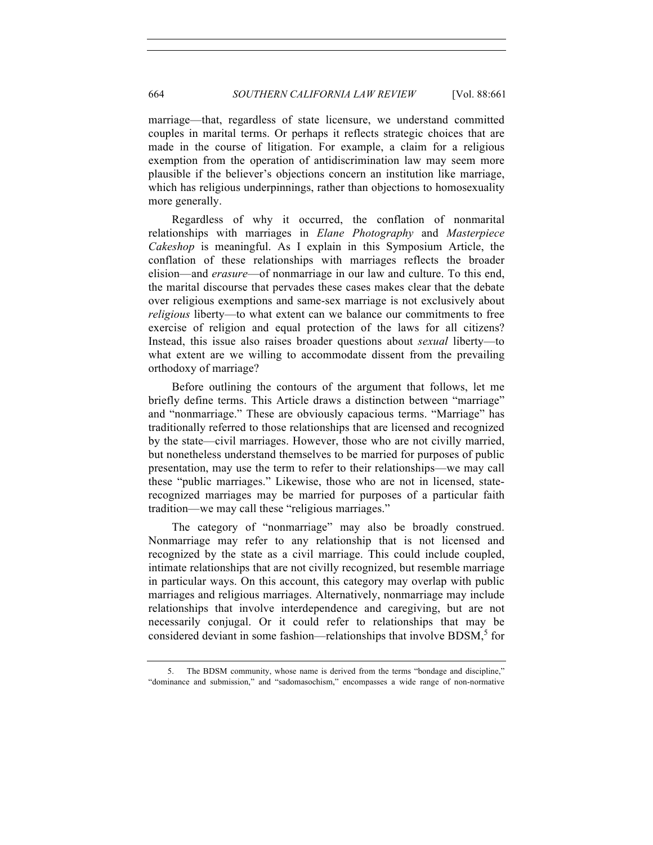marriage—that, regardless of state licensure, we understand committed couples in marital terms. Or perhaps it reflects strategic choices that are made in the course of litigation. For example, a claim for a religious exemption from the operation of antidiscrimination law may seem more plausible if the believer's objections concern an institution like marriage, which has religious underpinnings, rather than objections to homosexuality more generally.

Regardless of why it occurred, the conflation of nonmarital relationships with marriages in *Elane Photography* and *Masterpiece Cakeshop* is meaningful. As I explain in this Symposium Article, the conflation of these relationships with marriages reflects the broader elision—and *erasure*—of nonmarriage in our law and culture. To this end, the marital discourse that pervades these cases makes clear that the debate over religious exemptions and same-sex marriage is not exclusively about *religious* liberty—to what extent can we balance our commitments to free exercise of religion and equal protection of the laws for all citizens? Instead, this issue also raises broader questions about *sexual* liberty—to what extent are we willing to accommodate dissent from the prevailing orthodoxy of marriage?

Before outlining the contours of the argument that follows, let me briefly define terms. This Article draws a distinction between "marriage" and "nonmarriage." These are obviously capacious terms. "Marriage" has traditionally referred to those relationships that are licensed and recognized by the state—civil marriages. However, those who are not civilly married, but nonetheless understand themselves to be married for purposes of public presentation, may use the term to refer to their relationships—we may call these "public marriages." Likewise, those who are not in licensed, staterecognized marriages may be married for purposes of a particular faith tradition—we may call these "religious marriages."

The category of "nonmarriage" may also be broadly construed. Nonmarriage may refer to any relationship that is not licensed and recognized by the state as a civil marriage. This could include coupled, intimate relationships that are not civilly recognized, but resemble marriage in particular ways. On this account, this category may overlap with public marriages and religious marriages. Alternatively, nonmarriage may include relationships that involve interdependence and caregiving, but are not necessarily conjugal. Or it could refer to relationships that may be considered deviant in some fashion—relationships that involve BDSM, <sup>5</sup> for

<sup>5.</sup> The BDSM community, whose name is derived from the terms "bondage and discipline," "dominance and submission," and "sadomasochism," encompasses a wide range of non-normative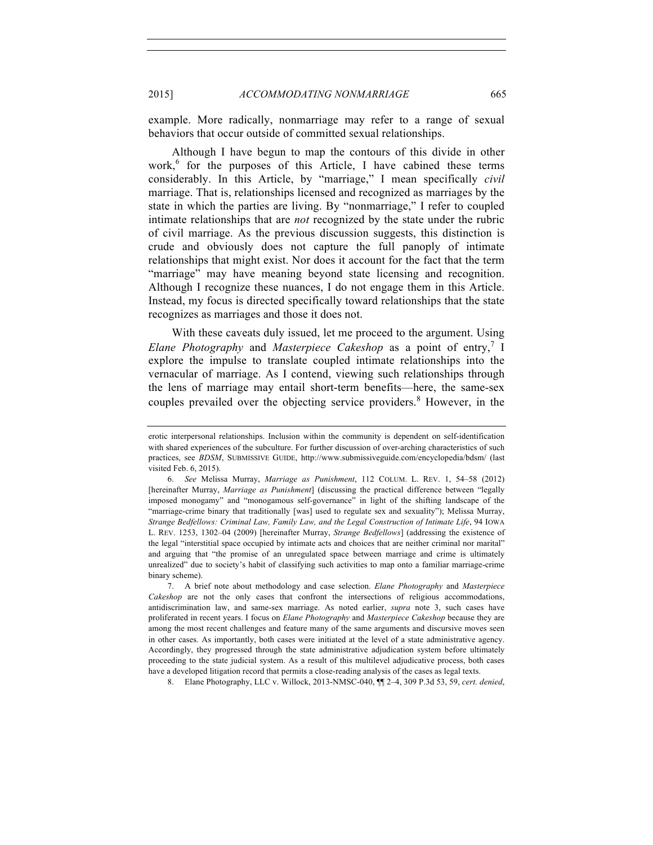example. More radically, nonmarriage may refer to a range of sexual behaviors that occur outside of committed sexual relationships.

Although I have begun to map the contours of this divide in other work, $6$  for the purposes of this Article. I have cabined these terms considerably. In this Article, by "marriage," I mean specifically *civil*  marriage. That is, relationships licensed and recognized as marriages by the state in which the parties are living. By "nonmarriage," I refer to coupled intimate relationships that are *not* recognized by the state under the rubric of civil marriage. As the previous discussion suggests, this distinction is crude and obviously does not capture the full panoply of intimate relationships that might exist. Nor does it account for the fact that the term "marriage" may have meaning beyond state licensing and recognition. Although I recognize these nuances, I do not engage them in this Article. Instead, my focus is directed specifically toward relationships that the state recognizes as marriages and those it does not.

With these caveats duly issued, let me proceed to the argument. Using *Elane Photography* and *Masterpiece Cakeshop* as a point of entry,<sup>7</sup> I explore the impulse to translate coupled intimate relationships into the vernacular of marriage. As I contend, viewing such relationships through the lens of marriage may entail short-term benefits—here, the same-sex couples prevailed over the objecting service providers.<sup>8</sup> However, in the

8. Elane Photography, LLC v. Willock, 2013-NMSC-040, ¶¶ 2–4, 309 P.3d 53, 59, *cert. denied*,

erotic interpersonal relationships. Inclusion within the community is dependent on self-identification with shared experiences of the subculture. For further discussion of over-arching characteristics of such practices, see *BDSM*, SUBMISSIVE GUIDE, http://www.submissiveguide.com/encyclopedia/bdsm/ (last visited Feb. 6, 2015).

<sup>6.</sup> *See* Melissa Murray, *Marriage as Punishment*, 112 COLUM. L. REV. 1, 54–58 (2012) [hereinafter Murray, *Marriage as Punishment*] (discussing the practical difference between "legally imposed monogamy" and "monogamous self-governance" in light of the shifting landscape of the "marriage-crime binary that traditionally [was] used to regulate sex and sexuality"); Melissa Murray, *Strange Bedfellows: Criminal Law, Family Law, and the Legal Construction of Intimate Life*, 94 IOWA L. REV. 1253, 1302–04 (2009) [hereinafter Murray, *Strange Bedfellows*] (addressing the existence of the legal "interstitial space occupied by intimate acts and choices that are neither criminal nor marital" and arguing that "the promise of an unregulated space between marriage and crime is ultimately unrealized" due to society's habit of classifying such activities to map onto a familiar marriage-crime binary scheme).

<sup>7.</sup> A brief note about methodology and case selection. *Elane Photography* and *Masterpiece Cakeshop* are not the only cases that confront the intersections of religious accommodations, antidiscrimination law, and same-sex marriage. As noted earlier, *supra* note 3, such cases have proliferated in recent years. I focus on *Elane Photography* and *Masterpiece Cakeshop* because they are among the most recent challenges and feature many of the same arguments and discursive moves seen in other cases. As importantly, both cases were initiated at the level of a state administrative agency. Accordingly, they progressed through the state administrative adjudication system before ultimately proceeding to the state judicial system. As a result of this multilevel adjudicative process, both cases have a developed litigation record that permits a close-reading analysis of the cases as legal texts.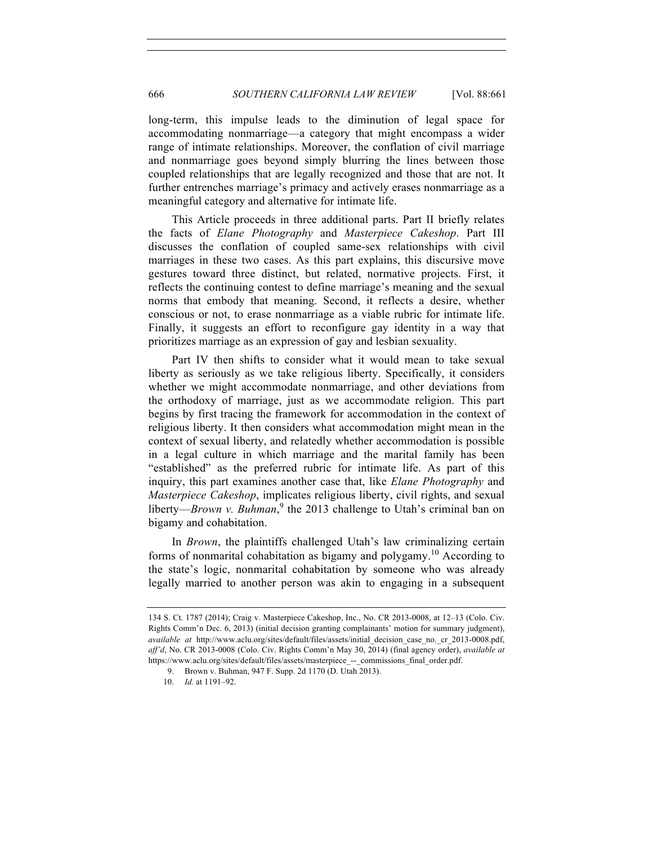long-term, this impulse leads to the diminution of legal space for accommodating nonmarriage—a category that might encompass a wider range of intimate relationships. Moreover, the conflation of civil marriage and nonmarriage goes beyond simply blurring the lines between those coupled relationships that are legally recognized and those that are not. It further entrenches marriage's primacy and actively erases nonmarriage as a meaningful category and alternative for intimate life.

This Article proceeds in three additional parts. Part II briefly relates the facts of *Elane Photography* and *Masterpiece Cakeshop*. Part III discusses the conflation of coupled same-sex relationships with civil marriages in these two cases. As this part explains, this discursive move gestures toward three distinct, but related, normative projects. First, it reflects the continuing contest to define marriage's meaning and the sexual norms that embody that meaning. Second, it reflects a desire, whether conscious or not, to erase nonmarriage as a viable rubric for intimate life. Finally, it suggests an effort to reconfigure gay identity in a way that prioritizes marriage as an expression of gay and lesbian sexuality.

Part IV then shifts to consider what it would mean to take sexual liberty as seriously as we take religious liberty. Specifically, it considers whether we might accommodate nonmarriage, and other deviations from the orthodoxy of marriage, just as we accommodate religion. This part begins by first tracing the framework for accommodation in the context of religious liberty. It then considers what accommodation might mean in the context of sexual liberty, and relatedly whether accommodation is possible in a legal culture in which marriage and the marital family has been "established" as the preferred rubric for intimate life. As part of this inquiry, this part examines another case that, like *Elane Photography* and *Masterpiece Cakeshop*, implicates religious liberty, civil rights, and sexual liberty—*Brown v. Buhman*,<sup>9</sup> the 2013 challenge to Utah's criminal ban on bigamy and cohabitation.

In *Brown*, the plaintiffs challenged Utah's law criminalizing certain forms of nonmarital cohabitation as bigamy and polygamy.<sup>10</sup> According to the state's logic, nonmarital cohabitation by someone who was already legally married to another person was akin to engaging in a subsequent

<sup>134</sup> S. Ct. 1787 (2014); Craig v. Masterpiece Cakeshop, Inc., No. CR 2013-0008, at 12–13 (Colo. Civ. Rights Comm'n Dec. 6, 2013) (initial decision granting complainants' motion for summary judgment), *available at* http://www.aclu.org/sites/default/files/assets/initial\_decision\_case\_no.\_cr\_2013-0008.pdf, *aff'd*, No. CR 2013-0008 (Colo. Civ. Rights Comm'n May 30, 2014) (final agency order), *available at* https://www.aclu.org/sites/default/files/assets/masterpiece\_--\_commissions\_final\_order.pdf.

<sup>9.</sup> Brown v. Buhman, 947 F. Supp. 2d 1170 (D. Utah 2013).

<sup>10.</sup> *Id.* at 1191–92.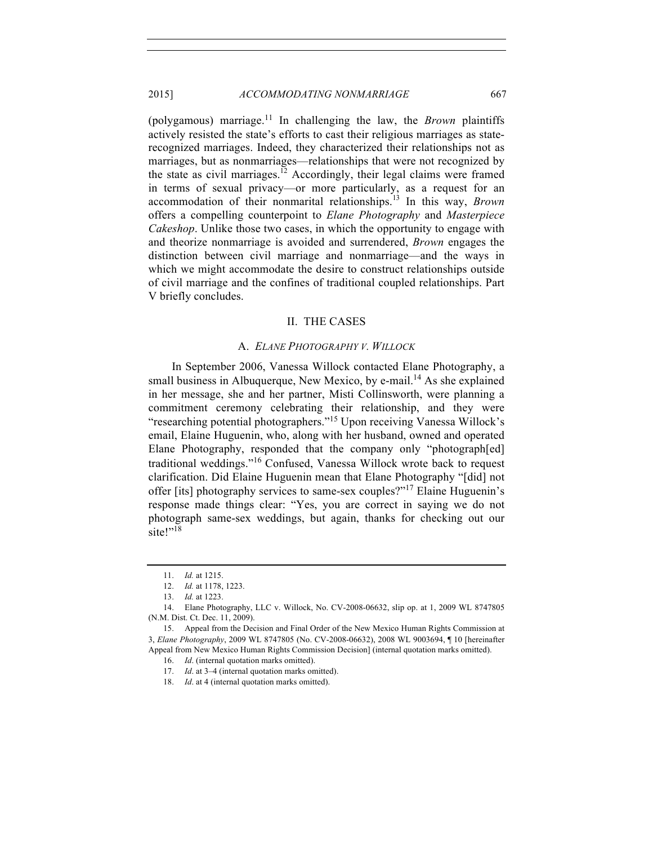(polygamous) marriage.11 In challenging the law, the *Brown* plaintiffs actively resisted the state's efforts to cast their religious marriages as staterecognized marriages. Indeed, they characterized their relationships not as marriages, but as nonmarriages—relationships that were not recognized by the state as civil marriages.<sup>12</sup> Accordingly, their legal claims were framed in terms of sexual privacy—or more particularly, as a request for an accommodation of their nonmarital relationships.<sup>13</sup> In this way, *Brown* offers a compelling counterpoint to *Elane Photography* and *Masterpiece Cakeshop*. Unlike those two cases, in which the opportunity to engage with and theorize nonmarriage is avoided and surrendered, *Brown* engages the distinction between civil marriage and nonmarriage—and the ways in which we might accommodate the desire to construct relationships outside of civil marriage and the confines of traditional coupled relationships. Part V briefly concludes.

## II. THE CASES

## A. *ELANE PHOTOGRAPHY V. WILLOCK*

In September 2006, Vanessa Willock contacted Elane Photography, a small business in Albuquerque, New Mexico, by e-mail.<sup>14</sup> As she explained in her message, she and her partner, Misti Collinsworth, were planning a commitment ceremony celebrating their relationship, and they were "researching potential photographers."<sup>15</sup> Upon receiving Vanessa Willock's email, Elaine Huguenin, who, along with her husband, owned and operated Elane Photography, responded that the company only "photograph[ed] traditional weddings."<sup>16</sup> Confused, Vanessa Willock wrote back to request clarification. Did Elaine Huguenin mean that Elane Photography "[did] not offer [its] photography services to same-sex couples?"<sup>17</sup> Elaine Huguenin's response made things clear: "Yes, you are correct in saying we do not photograph same-sex weddings, but again, thanks for checking out our site!"<sup>18</sup>

<sup>11.</sup> *Id.* at 1215.

<sup>12.</sup> *Id.* at 1178, 1223.

<sup>13.</sup> *Id.* at 1223.

<sup>14.</sup> Elane Photography, LLC v. Willock, No. CV-2008-06632, slip op. at 1, 2009 WL 8747805 (N.M. Dist. Ct. Dec. 11, 2009).

<sup>15.</sup> Appeal from the Decision and Final Order of the New Mexico Human Rights Commission at 3, *Elane Photography*, 2009 WL 8747805 (No. CV-2008-06632), 2008 WL 9003694, ¶ 10 [hereinafter Appeal from New Mexico Human Rights Commission Decision] (internal quotation marks omitted).

<sup>16.</sup> *Id*. (internal quotation marks omitted).

<sup>17.</sup> *Id*. at 3–4 (internal quotation marks omitted).

<sup>18.</sup> *Id*. at 4 (internal quotation marks omitted).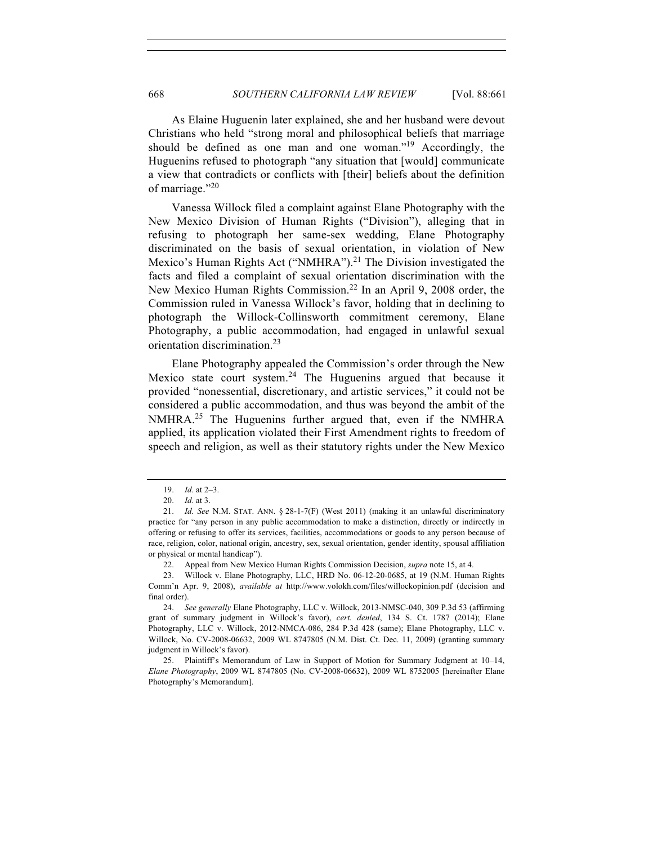As Elaine Huguenin later explained, she and her husband were devout Christians who held "strong moral and philosophical beliefs that marriage should be defined as one man and one woman."<sup>19</sup> Accordingly, the Huguenins refused to photograph "any situation that [would] communicate a view that contradicts or conflicts with [their] beliefs about the definition of marriage."20

Vanessa Willock filed a complaint against Elane Photography with the New Mexico Division of Human Rights ("Division"), alleging that in refusing to photograph her same-sex wedding, Elane Photography discriminated on the basis of sexual orientation, in violation of New Mexico's Human Rights Act ("NMHRA").<sup>21</sup> The Division investigated the facts and filed a complaint of sexual orientation discrimination with the New Mexico Human Rights Commission.<sup>22</sup> In an April 9, 2008 order, the Commission ruled in Vanessa Willock's favor, holding that in declining to photograph the Willock-Collinsworth commitment ceremony, Elane Photography, a public accommodation, had engaged in unlawful sexual orientation discrimination.23

Elane Photography appealed the Commission's order through the New Mexico state court system. $24$  The Huguenins argued that because it provided "nonessential, discretionary, and artistic services," it could not be considered a public accommodation, and thus was beyond the ambit of the NMHRA.<sup>25</sup> The Huguenins further argued that, even if the NMHRA applied, its application violated their First Amendment rights to freedom of speech and religion, as well as their statutory rights under the New Mexico

<sup>19.</sup> *Id*. at 2–3.

<sup>20.</sup> *Id*. at 3.

<sup>21.</sup> *Id. See* N.M. STAT. ANN. § 28-1-7(F) (West 2011) (making it an unlawful discriminatory practice for "any person in any public accommodation to make a distinction, directly or indirectly in offering or refusing to offer its services, facilities, accommodations or goods to any person because of race, religion, color, national origin, ancestry, sex, sexual orientation, gender identity, spousal affiliation or physical or mental handicap").

<sup>22.</sup> Appeal from New Mexico Human Rights Commission Decision, *supra* note 15, at 4.

<sup>23.</sup> Willock v. Elane Photography, LLC, HRD No. 06-12-20-0685, at 19 (N.M. Human Rights Comm'n Apr. 9, 2008), *available at* http://www.volokh.com/files/willockopinion.pdf (decision and final order).

<sup>24.</sup> *See generally* Elane Photography, LLC v. Willock, 2013-NMSC-040, 309 P.3d 53 (affirming grant of summary judgment in Willock's favor), *cert. denied*, 134 S. Ct. 1787 (2014); Elane Photography, LLC v. Willock, 2012-NMCA-086, 284 P.3d 428 (same); Elane Photography, LLC v. Willock, No. CV-2008-06632, 2009 WL 8747805 (N.M. Dist. Ct. Dec. 11, 2009) (granting summary judgment in Willock's favor).

<sup>25.</sup> Plaintiff's Memorandum of Law in Support of Motion for Summary Judgment at 10–14, *Elane Photography*, 2009 WL 8747805 (No. CV-2008-06632), 2009 WL 8752005 [hereinafter Elane Photography's Memorandum].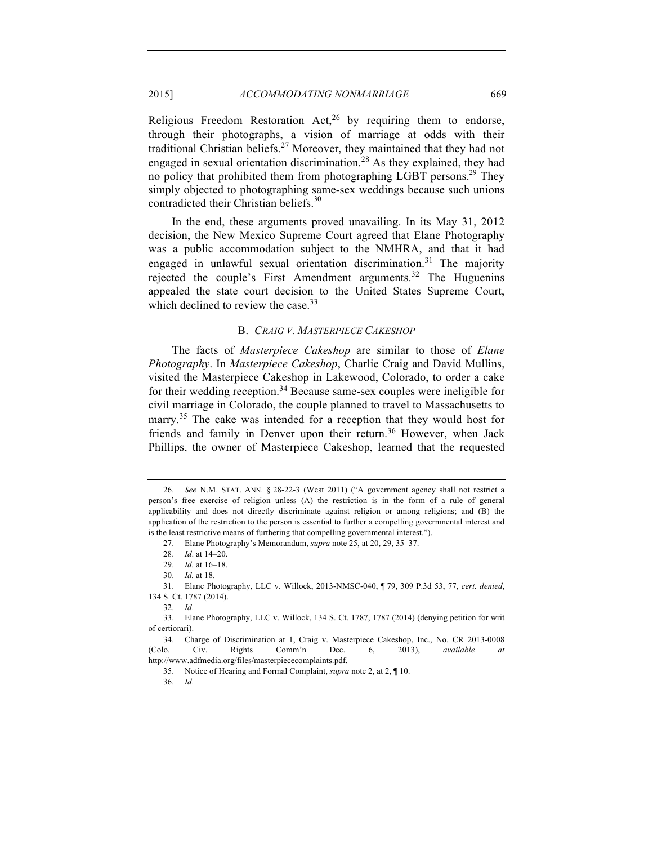Religious Freedom Restoration Act,<sup>26</sup> by requiring them to endorse, through their photographs, a vision of marriage at odds with their traditional Christian beliefs.<sup>27</sup> Moreover, they maintained that they had not engaged in sexual orientation discrimination.<sup>28</sup> As they explained, they had no policy that prohibited them from photographing LGBT persons.<sup>29</sup> They simply objected to photographing same-sex weddings because such unions contradicted their Christian beliefs.<sup>30</sup>

In the end, these arguments proved unavailing. In its May 31, 2012 decision, the New Mexico Supreme Court agreed that Elane Photography was a public accommodation subject to the NMHRA, and that it had engaged in unlawful sexual orientation discrimination.<sup>31</sup> The majority rejected the couple's First Amendment arguments.<sup>32</sup> The Huguenins appealed the state court decision to the United States Supreme Court, which declined to review the case.<sup>33</sup>

# B. *CRAIG V. MASTERPIECE CAKESHOP*

The facts of *Masterpiece Cakeshop* are similar to those of *Elane Photography*. In *Masterpiece Cakeshop*, Charlie Craig and David Mullins, visited the Masterpiece Cakeshop in Lakewood, Colorado, to order a cake for their wedding reception.<sup>34</sup> Because same-sex couples were ineligible for civil marriage in Colorado, the couple planned to travel to Massachusetts to marry.<sup>35</sup> The cake was intended for a reception that they would host for friends and family in Denver upon their return.<sup>36</sup> However, when Jack Phillips, the owner of Masterpiece Cakeshop, learned that the requested

35. Notice of Hearing and Formal Complaint, *supra* note 2, at 2, ¶ 10.

36. *Id*.

<sup>26.</sup> *See* N.M. STAT. ANN. § 28-22-3 (West 2011) ("A government agency shall not restrict a person's free exercise of religion unless (A) the restriction is in the form of a rule of general applicability and does not directly discriminate against religion or among religions; and (B) the application of the restriction to the person is essential to further a compelling governmental interest and is the least restrictive means of furthering that compelling governmental interest.").

<sup>27.</sup> Elane Photography's Memorandum, *supra* note 25, at 20, 29, 35–37.

<sup>28.</sup> *Id*. at 14–20.

<sup>29.</sup> *Id.* at 16–18.

<sup>30.</sup> *Id.* at 18.

<sup>31.</sup> Elane Photography, LLC v. Willock, 2013-NMSC-040, ¶ 79, 309 P.3d 53, 77, *cert. denied*, 134 S. Ct. 1787 (2014).

<sup>32.</sup> *Id*.

<sup>33.</sup> Elane Photography, LLC v. Willock, 134 S. Ct. 1787, 1787 (2014) (denying petition for writ of certiorari).

<sup>34.</sup> Charge of Discrimination at 1, Craig v. Masterpiece Cakeshop, Inc., No. CR 2013-0008 (Colo. Civ. Rights Comm'n Dec. 6, 2013), *available at* http://www.adfmedia.org/files/masterpiececomplaints.pdf.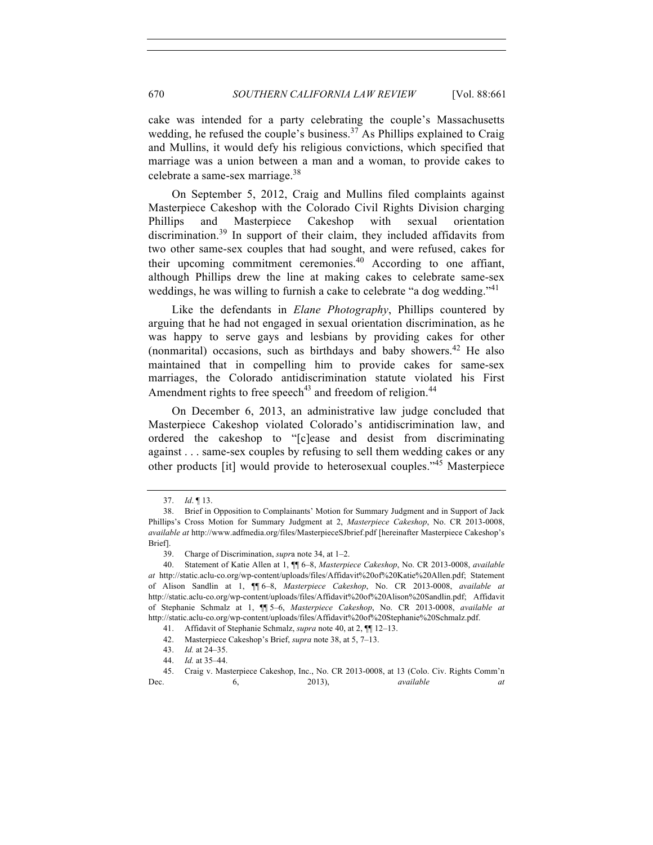cake was intended for a party celebrating the couple's Massachusetts wedding, he refused the couple's business.<sup>37</sup> As Phillips explained to Craig and Mullins, it would defy his religious convictions, which specified that marriage was a union between a man and a woman, to provide cakes to celebrate a same-sex marriage.<sup>38</sup>

On September 5, 2012, Craig and Mullins filed complaints against Masterpiece Cakeshop with the Colorado Civil Rights Division charging Phillips and Masterpiece Cakeshop with sexual orientation discrimination.<sup>39</sup> In support of their claim, they included affidavits from two other same-sex couples that had sought, and were refused, cakes for their upcoming commitment ceremonies. $40$  According to one affiant, although Phillips drew the line at making cakes to celebrate same-sex weddings, he was willing to furnish a cake to celebrate "a dog wedding."<sup>41</sup>

Like the defendants in *Elane Photography*, Phillips countered by arguing that he had not engaged in sexual orientation discrimination, as he was happy to serve gays and lesbians by providing cakes for other (nonmarital) occasions, such as birthdays and baby showers.<sup>42</sup> He also maintained that in compelling him to provide cakes for same-sex marriages, the Colorado antidiscrimination statute violated his First Amendment rights to free speech<sup>43</sup> and freedom of religion.<sup>44</sup>

On December 6, 2013, an administrative law judge concluded that Masterpiece Cakeshop violated Colorado's antidiscrimination law, and ordered the cakeshop to "[c]ease and desist from discriminating against . . . same-sex couples by refusing to sell them wedding cakes or any other products [it] would provide to heterosexual couples."<sup>45</sup> Masterpiece

<sup>37.</sup> *Id*. ¶ 13.

<sup>38.</sup> Brief in Opposition to Complainants' Motion for Summary Judgment and in Support of Jack Phillips's Cross Motion for Summary Judgment at 2, *Masterpiece Cakeshop*, No. CR 2013-0008, *available at* http://www.adfmedia.org/files/MasterpieceSJbrief.pdf [hereinafter Masterpiece Cakeshop's Brief].

<sup>39.</sup> Charge of Discrimination, *supr*a note 34, at 1–2.

<sup>40.</sup> Statement of Katie Allen at 1, ¶¶ 6–8, *Masterpiece Cakeshop*, No. CR 2013-0008, *available at* http://static.aclu-co.org/wp-content/uploads/files/Affidavit%20of%20Katie%20Allen.pdf; Statement of Alison Sandlin at 1, ¶¶ 6–8, *Masterpiece Cakeshop*, No. CR 2013-0008, *available at* http://static.aclu-co.org/wp-content/uploads/files/Affidavit%20of%20Alison%20Sandlin.pdf; Affidavit of Stephanie Schmalz at 1, ¶¶ 5–6, *Masterpiece Cakeshop*, No. CR 2013-0008, *available at* http://static.aclu-co.org/wp-content/uploads/files/Affidavit%20of%20Stephanie%20Schmalz.pdf.

<sup>41.</sup> Affidavit of Stephanie Schmalz, *supra* note 40, at 2, ¶¶ 12–13.

<sup>42.</sup> Masterpiece Cakeshop's Brief, *supra* note 38, at 5, 7–13.

<sup>43.</sup> *Id.* at 24–35.

<sup>44.</sup> *Id.* at 35–44.

<sup>45.</sup> Craig v. Masterpiece Cakeshop, Inc., No. CR 2013-0008, at 13 (Colo. Civ. Rights Comm'n Dec. 6, 2013), *available at*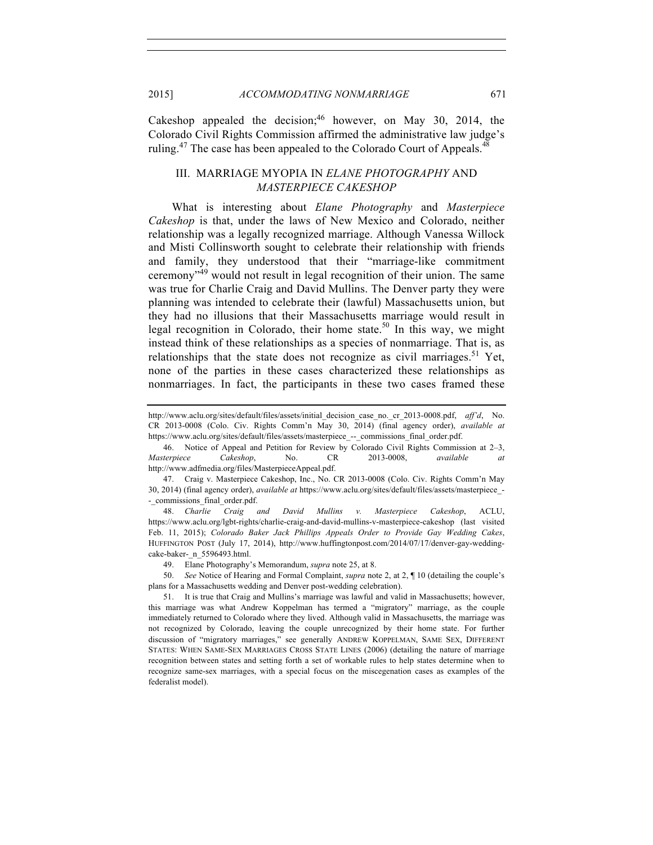Cakeshop appealed the decision;  $46$  however, on May 30, 2014, the Colorado Civil Rights Commission affirmed the administrative law judge's ruling.<sup>47</sup> The case has been appealed to the Colorado Court of Appeals.<sup>48</sup>

# III. MARRIAGE MYOPIA IN *ELANE PHOTOGRAPHY* AND *MASTERPIECE CAKESHOP*

What is interesting about *Elane Photography* and *Masterpiece Cakeshop* is that, under the laws of New Mexico and Colorado, neither relationship was a legally recognized marriage. Although Vanessa Willock and Misti Collinsworth sought to celebrate their relationship with friends and family, they understood that their "marriage-like commitment ceremony"<sup>49</sup> would not result in legal recognition of their union. The same was true for Charlie Craig and David Mullins. The Denver party they were planning was intended to celebrate their (lawful) Massachusetts union, but they had no illusions that their Massachusetts marriage would result in legal recognition in Colorado, their home state.<sup>50</sup> In this way, we might instead think of these relationships as a species of nonmarriage. That is, as relationships that the state does not recognize as civil marriages.<sup>51</sup> Yet, none of the parties in these cases characterized these relationships as nonmarriages. In fact, the participants in these two cases framed these

47. Craig v. Masterpiece Cakeshop, Inc., No. CR 2013-0008 (Colo. Civ. Rights Comm'n May 30, 2014) (final agency order), *available at* https://www.aclu.org/sites/default/files/assets/masterpiece\_- - commissions final order.pdf.

48. *Charlie Craig and David Mullins v. Masterpiece Cakeshop*, ACLU, https://www.aclu.org/lgbt-rights/charlie-craig-and-david-mullins-v-masterpiece-cakeshop (last visited Feb. 11, 2015); *Colorado Baker Jack Phillips Appeals Order to Provide Gay Wedding Cakes*, HUFFINGTON POST (July 17, 2014), http://www.huffingtonpost.com/2014/07/17/denver-gay-weddingcake-baker- n 5596493.html.

49. Elane Photography's Memorandum, *supra* note 25, at 8.

50. *See* Notice of Hearing and Formal Complaint, *supra* note 2, at 2, ¶ 10 (detailing the couple's plans for a Massachusetts wedding and Denver post-wedding celebration).

http://www.aclu.org/sites/default/files/assets/initial\_decision\_case\_no.\_cr\_2013-0008.pdf, *aff'd*, No. CR 2013-0008 (Colo. Civ. Rights Comm'n May 30, 2014) (final agency order), *available at* https://www.aclu.org/sites/default/files/assets/masterpiece -- commissions final order.pdf.

<sup>46.</sup> Notice of Appeal and Petition for Review by Colorado Civil Rights Commission at 2–3, *Masterpiece Cakeshop*, No. CR 2013-0008, *available at* http://www.adfmedia.org/files/MasterpieceAppeal.pdf.

<sup>51.</sup> It is true that Craig and Mullins's marriage was lawful and valid in Massachusetts; however, this marriage was what Andrew Koppelman has termed a "migratory" marriage, as the couple immediately returned to Colorado where they lived. Although valid in Massachusetts, the marriage was not recognized by Colorado, leaving the couple unrecognized by their home state. For further discussion of "migratory marriages," see generally ANDREW KOPPELMAN, SAME SEX, DIFFERENT STATES: WHEN SAME-SEX MARRIAGES CROSS STATE LINES (2006) (detailing the nature of marriage recognition between states and setting forth a set of workable rules to help states determine when to recognize same-sex marriages, with a special focus on the miscegenation cases as examples of the federalist model).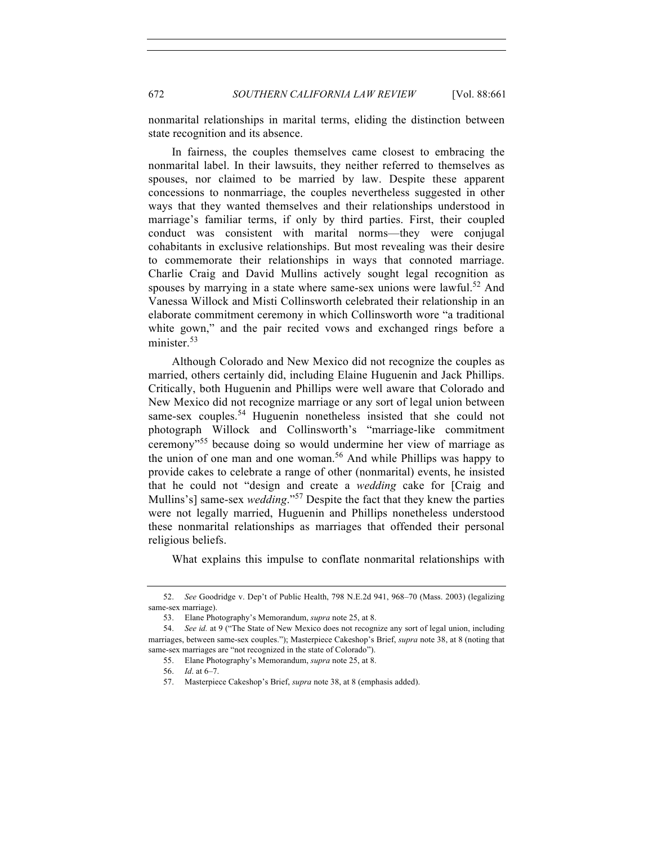nonmarital relationships in marital terms, eliding the distinction between state recognition and its absence.

In fairness, the couples themselves came closest to embracing the nonmarital label. In their lawsuits, they neither referred to themselves as spouses, nor claimed to be married by law. Despite these apparent concessions to nonmarriage, the couples nevertheless suggested in other ways that they wanted themselves and their relationships understood in marriage's familiar terms, if only by third parties. First, their coupled conduct was consistent with marital norms—they were conjugal cohabitants in exclusive relationships. But most revealing was their desire to commemorate their relationships in ways that connoted marriage. Charlie Craig and David Mullins actively sought legal recognition as spouses by marrying in a state where same-sex unions were lawful.<sup>52</sup> And Vanessa Willock and Misti Collinsworth celebrated their relationship in an elaborate commitment ceremony in which Collinsworth wore "a traditional white gown," and the pair recited vows and exchanged rings before a minister $53$ 

Although Colorado and New Mexico did not recognize the couples as married, others certainly did, including Elaine Huguenin and Jack Phillips. Critically, both Huguenin and Phillips were well aware that Colorado and New Mexico did not recognize marriage or any sort of legal union between same-sex couples.<sup>54</sup> Huguenin nonetheless insisted that she could not photograph Willock and Collinsworth's "marriage-like commitment ceremony"<sup>55</sup> because doing so would undermine her view of marriage as the union of one man and one woman.<sup>56</sup> And while Phillips was happy to provide cakes to celebrate a range of other (nonmarital) events, he insisted that he could not "design and create a *wedding* cake for [Craig and Mullins's] same-sex *wedding*."<sup>57</sup> Despite the fact that they knew the parties were not legally married, Huguenin and Phillips nonetheless understood these nonmarital relationships as marriages that offended their personal religious beliefs.

What explains this impulse to conflate nonmarital relationships with

<sup>52.</sup> *See* Goodridge v. Dep't of Public Health, 798 N.E.2d 941, 968–70 (Mass. 2003) (legalizing same-sex marriage).

<sup>53.</sup> Elane Photography's Memorandum, *supra* note 25, at 8.

<sup>54.</sup> *See id.* at 9 ("The State of New Mexico does not recognize any sort of legal union, including marriages, between same-sex couples."); Masterpiece Cakeshop's Brief, *supra* note 38, at 8 (noting that same-sex marriages are "not recognized in the state of Colorado").

<sup>55.</sup> Elane Photography's Memorandum, *supra* note 25, at 8.

<sup>56.</sup> *Id*. at 6–7.

<sup>57.</sup> Masterpiece Cakeshop's Brief, *supra* note 38, at 8 (emphasis added).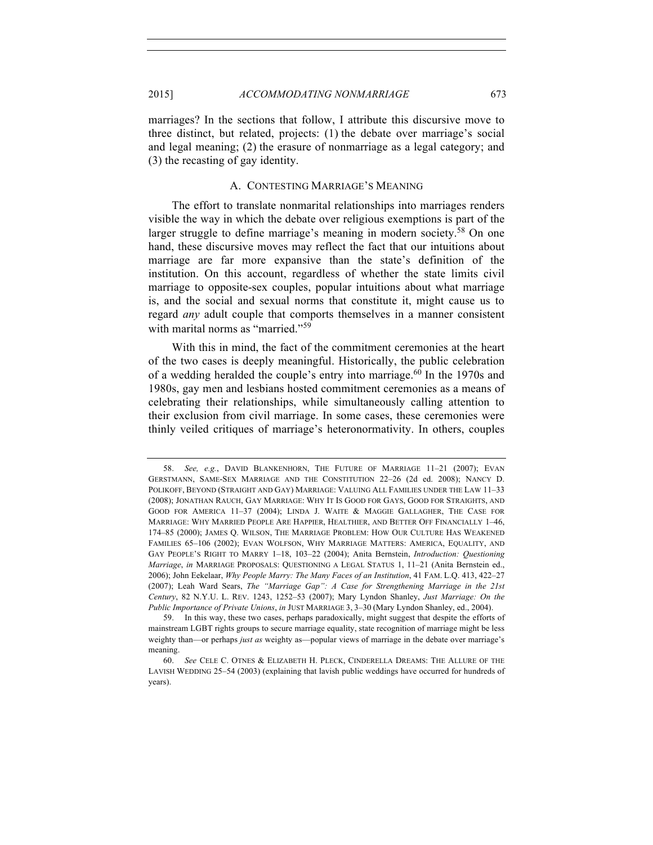2015] *ACCOMMODATING NONMARRIAGE* 673

marriages? In the sections that follow, I attribute this discursive move to three distinct, but related, projects: (1) the debate over marriage's social and legal meaning; (2) the erasure of nonmarriage as a legal category; and (3) the recasting of gay identity.

#### A. CONTESTING MARRIAGE'S MEANING

The effort to translate nonmarital relationships into marriages renders visible the way in which the debate over religious exemptions is part of the larger struggle to define marriage's meaning in modern society.<sup>58</sup> On one hand, these discursive moves may reflect the fact that our intuitions about marriage are far more expansive than the state's definition of the institution. On this account, regardless of whether the state limits civil marriage to opposite-sex couples, popular intuitions about what marriage is, and the social and sexual norms that constitute it, might cause us to regard *any* adult couple that comports themselves in a manner consistent with marital norms as "married."<sup>59</sup>

With this in mind, the fact of the commitment ceremonies at the heart of the two cases is deeply meaningful. Historically, the public celebration of a wedding heralded the couple's entry into marriage.<sup>60</sup> In the 1970s and 1980s, gay men and lesbians hosted commitment ceremonies as a means of celebrating their relationships, while simultaneously calling attention to their exclusion from civil marriage. In some cases, these ceremonies were thinly veiled critiques of marriage's heteronormativity. In others, couples

<sup>58.</sup> *See, e.g.*, DAVID BLANKENHORN, THE FUTURE OF MARRIAGE 11–21 (2007); EVAN GERSTMANN, SAME-SEX MARRIAGE AND THE CONSTITUTION 22–26 (2d ed. 2008); NANCY D. POLIKOFF, BEYOND (STRAIGHT AND GAY) MARRIAGE: VALUING ALL FAMILIES UNDER THE LAW 11–33 (2008); JONATHAN RAUCH, GAY MARRIAGE: WHY IT IS GOOD FOR GAYS, GOOD FOR STRAIGHTS, AND GOOD FOR AMERICA 11–37 (2004); LINDA J. WAITE & MAGGIE GALLAGHER, THE CASE FOR MARRIAGE: WHY MARRIED PEOPLE ARE HAPPIER, HEALTHIER, AND BETTER OFF FINANCIALLY 1–46, 174–85 (2000); JAMES Q. WILSON, THE MARRIAGE PROBLEM: HOW OUR CULTURE HAS WEAKENED FAMILIES 65–106 (2002); EVAN WOLFSON, WHY MARRIAGE MATTERS: AMERICA, EQUALITY, AND GAY PEOPLE'S RIGHT TO MARRY 1–18, 103–22 (2004); Anita Bernstein, *Introduction: Questioning Marriage*, *in* MARRIAGE PROPOSALS: QUESTIONING A LEGAL STATUS 1, 11–21 (Anita Bernstein ed., 2006); John Eekelaar, *Why People Marry: The Many Faces of an Institution*, 41 FAM. L.Q. 413, 422–27 (2007); Leah Ward Sears, *The "Marriage Gap": A Case for Strengthening Marriage in the 21st Century*, 82 N.Y.U. L. REV. 1243, 1252–53 (2007); Mary Lyndon Shanley, *Just Marriage: On the Public Importance of Private Unions*, *in* JUST MARRIAGE 3, 3–30 (Mary Lyndon Shanley, ed., 2004).

<sup>59.</sup> In this way, these two cases, perhaps paradoxically, might suggest that despite the efforts of mainstream LGBT rights groups to secure marriage equality, state recognition of marriage might be less weighty than—or perhaps *just as* weighty as—popular views of marriage in the debate over marriage's meaning.

<sup>60.</sup> *See* CELE C. OTNES & ELIZABETH H. PLECK, CINDERELLA DREAMS: THE ALLURE OF THE LAVISH WEDDING 25–54 (2003) (explaining that lavish public weddings have occurred for hundreds of years).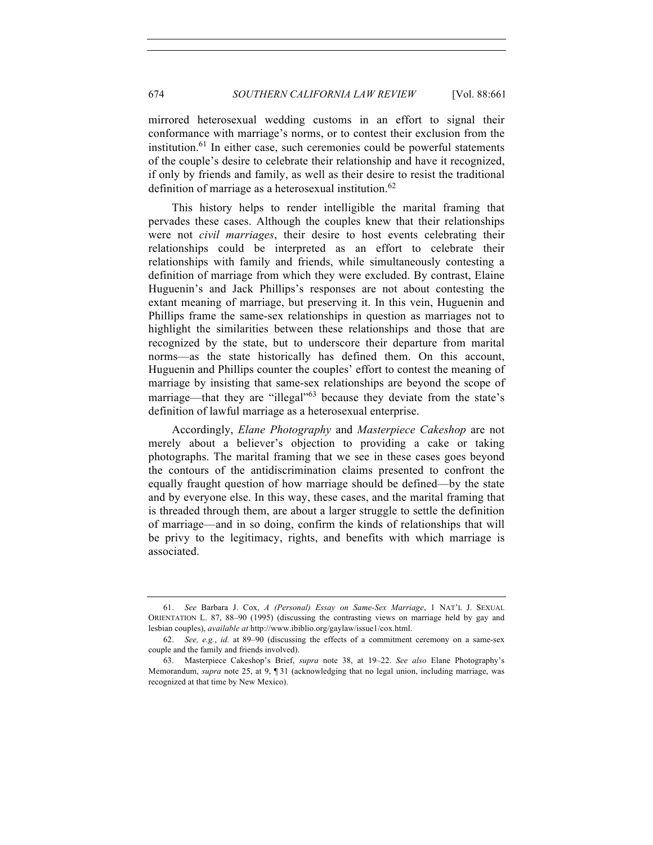mirrored heterosexual wedding customs in an effort to signal their conformance with marriage's norms, or to contest their exclusion from the institution. $61$  In either case, such ceremonies could be powerful statements of the couple's desire to celebrate their relationship and have it recognized, if only by friends and family, as well as their desire to resist the traditional definition of marriage as a heterosexual institution. $62$ 

This history helps to render intelligible the marital framing that pervades these cases. Although the couples knew that their relationships were not *civil marriages*, their desire to host events celebrating their relationships could be interpreted as an effort to celebrate their relationships with family and friends, while simultaneously contesting a definition of marriage from which they were excluded. By contrast, Elaine Huguenin's and Jack Phillips's responses are not about contesting the extant meaning of marriage, but preserving it. In this vein, Huguenin and Phillips frame the same-sex relationships in question as marriages not to highlight the similarities between these relationships and those that are recognized by the state, but to underscore their departure from marital norms—as the state historically has defined them. On this account, Huguenin and Phillips counter the couples' effort to contest the meaning of marriage by insisting that same-sex relationships are beyond the scope of marriage—that they are "illegal"<sup>63</sup> because they deviate from the state's definition of lawful marriage as a heterosexual enterprise.

Accordingly, *Elane Photography* and *Masterpiece Cakeshop* are not merely about a believer's objection to providing a cake or taking photographs. The marital framing that we see in these cases goes beyond the contours of the antidiscrimination claims presented to confront the equally fraught question of how marriage should be defined—by the state and by everyone else. In this way, these cases, and the marital framing that is threaded through them, are about a larger struggle to settle the definition of marriage—and in so doing, confirm the kinds of relationships that will be privy to the legitimacy, rights, and benefits with which marriage is associated.

<sup>61.</sup> *See* Barbara J. Cox, *A (Personal) Essay on Same-Sex Marriage*, 1 NAT'L J. SEXUAL ORIENTATION L. 87, 88–90 (1995) (discussing the contrasting views on marriage held by gay and lesbian couples), *available at* http://www.ibiblio.org/gaylaw/issue1/cox.html.

<sup>62.</sup> *See, e.g.*, *id.* at 89–90 (discussing the effects of a commitment ceremony on a same-sex couple and the family and friends involved).

<sup>63.</sup> Masterpiece Cakeshop's Brief, *supra* note 38, at 19–22. *See also* Elane Photography's Memorandum, *supra* note 25, at 9, 1 31 (acknowledging that no legal union, including marriage, was recognized at that time by New Mexico).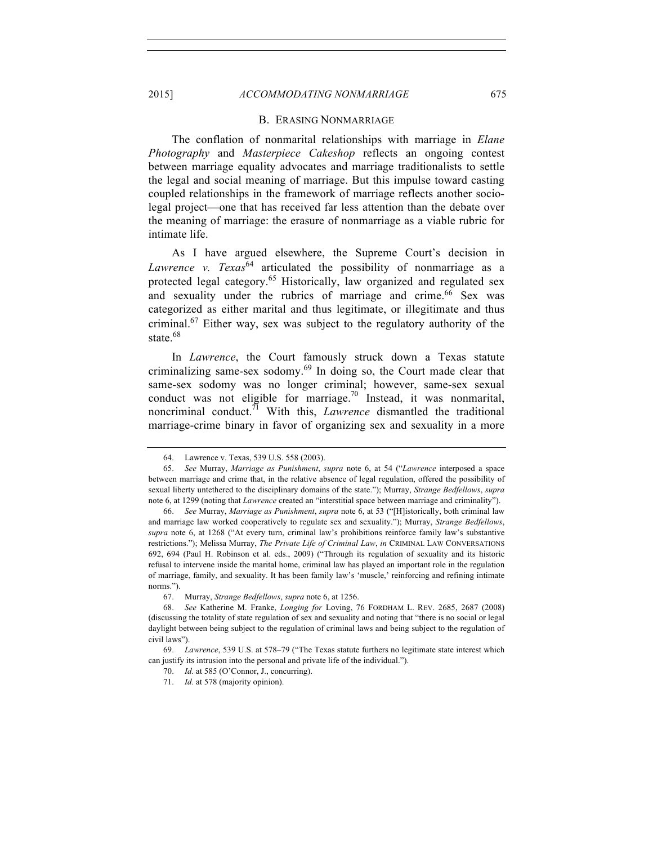## 2015] *ACCOMMODATING NONMARRIAGE* 675

#### B. ERASING NONMARRIAGE

The conflation of nonmarital relationships with marriage in *Elane Photography* and *Masterpiece Cakeshop* reflects an ongoing contest between marriage equality advocates and marriage traditionalists to settle the legal and social meaning of marriage. But this impulse toward casting coupled relationships in the framework of marriage reflects another sociolegal project—one that has received far less attention than the debate over the meaning of marriage: the erasure of nonmarriage as a viable rubric for intimate life.

As I have argued elsewhere, the Supreme Court's decision in *Lawrence v. Texas*<sup>64</sup> articulated the possibility of nonmarriage as a protected legal category.<sup>65</sup> Historically, law organized and regulated sex and sexuality under the rubrics of marriage and crime.<sup>66</sup> Sex was categorized as either marital and thus legitimate, or illegitimate and thus criminal.<sup>67</sup> Either way, sex was subject to the regulatory authority of the state.<sup>68</sup>

In *Lawrence*, the Court famously struck down a Texas statute criminalizing same-sex sodomy. $69$  In doing so, the Court made clear that same-sex sodomy was no longer criminal; however, same-sex sexual conduct was not eligible for marriage.<sup>70</sup> Instead, it was nonmarital, noncriminal conduct.<sup>71</sup> With this, *Lawrence* dismantled the traditional marriage-crime binary in favor of organizing sex and sexuality in a more

<sup>64.</sup> Lawrence v. Texas, 539 U.S. 558 (2003).

<sup>65.</sup> *See* Murray, *Marriage as Punishment*, *supra* note 6, at 54 ("*Lawrence* interposed a space between marriage and crime that, in the relative absence of legal regulation, offered the possibility of sexual liberty untethered to the disciplinary domains of the state."); Murray, *Strange Bedfellows*, *supra* note 6, at 1299 (noting that *Lawrence* created an "interstitial space between marriage and criminality").

<sup>66.</sup> *See* Murray, *Marriage as Punishment*, *supra* note 6, at 53 ("[H]istorically, both criminal law and marriage law worked cooperatively to regulate sex and sexuality."); Murray, *Strange Bedfellows*, *supra* note 6, at 1268 ("At every turn, criminal law's prohibitions reinforce family law's substantive restrictions."); Melissa Murray, *The Private Life of Criminal Law*, *in* CRIMINAL LAW CONVERSATIONS 692, 694 (Paul H. Robinson et al. eds., 2009) ("Through its regulation of sexuality and its historic refusal to intervene inside the marital home, criminal law has played an important role in the regulation of marriage, family, and sexuality. It has been family law's 'muscle,' reinforcing and refining intimate norms.").

<sup>67.</sup> Murray, *Strange Bedfellows*, *supra* note 6, at 1256.

<sup>68.</sup> *See* Katherine M. Franke, *Longing for* Loving, 76 FORDHAM L. REV. 2685, 2687 (2008) (discussing the totality of state regulation of sex and sexuality and noting that "there is no social or legal daylight between being subject to the regulation of criminal laws and being subject to the regulation of civil laws").

<sup>69.</sup> *Lawrence*, 539 U.S. at 578–79 ("The Texas statute furthers no legitimate state interest which can justify its intrusion into the personal and private life of the individual.").

<sup>70.</sup> *Id.* at 585 (O'Connor, J., concurring).

<sup>71.</sup> *Id.* at 578 (majority opinion).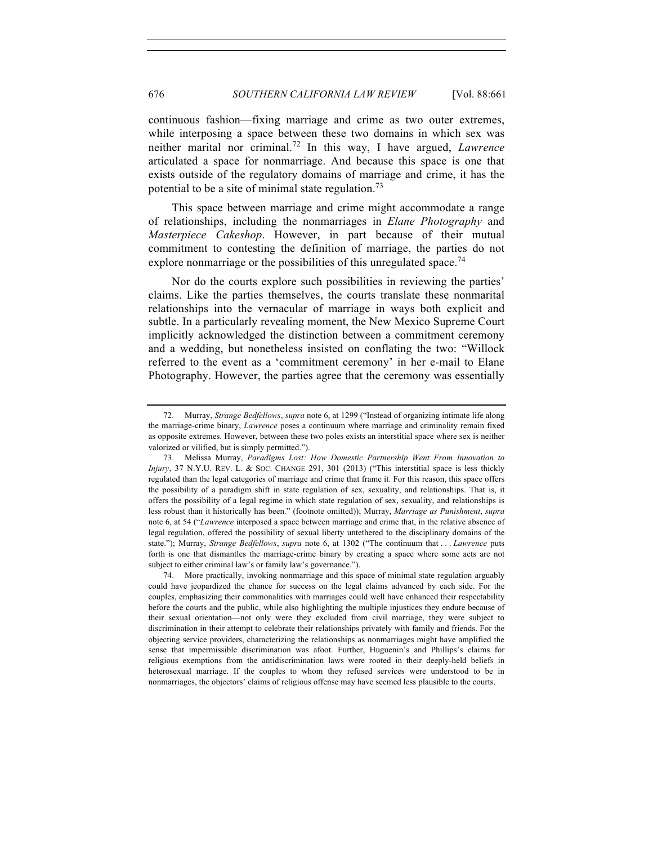continuous fashion—fixing marriage and crime as two outer extremes, while interposing a space between these two domains in which sex was neither marital nor criminal.<sup>72</sup> In this way, I have argued, *Lawrence* articulated a space for nonmarriage. And because this space is one that exists outside of the regulatory domains of marriage and crime, it has the potential to be a site of minimal state regulation.<sup>73</sup>

This space between marriage and crime might accommodate a range of relationships, including the nonmarriages in *Elane Photography* and *Masterpiece Cakeshop*. However, in part because of their mutual commitment to contesting the definition of marriage, the parties do not explore nonmarriage or the possibilities of this unregulated space.<sup>74</sup>

Nor do the courts explore such possibilities in reviewing the parties' claims. Like the parties themselves, the courts translate these nonmarital relationships into the vernacular of marriage in ways both explicit and subtle. In a particularly revealing moment, the New Mexico Supreme Court implicitly acknowledged the distinction between a commitment ceremony and a wedding, but nonetheless insisted on conflating the two: "Willock referred to the event as a 'commitment ceremony' in her e-mail to Elane Photography. However, the parties agree that the ceremony was essentially

<sup>72.</sup> Murray, *Strange Bedfellows*, *supra* note 6, at 1299 ("Instead of organizing intimate life along the marriage-crime binary, *Lawrence* poses a continuum where marriage and criminality remain fixed as opposite extremes. However, between these two poles exists an interstitial space where sex is neither valorized or vilified, but is simply permitted.").

<sup>73.</sup> Melissa Murray, *Paradigms Lost: How Domestic Partnership Went From Innovation to Injury*, 37 N.Y.U. REV. L. & SOC. CHANGE 291, 301 (2013) ("This interstitial space is less thickly regulated than the legal categories of marriage and crime that frame it. For this reason, this space offers the possibility of a paradigm shift in state regulation of sex, sexuality, and relationships. That is, it offers the possibility of a legal regime in which state regulation of sex, sexuality, and relationships is less robust than it historically has been." (footnote omitted)); Murray, *Marriage as Punishment*, *supra*  note 6, at 54 ("*Lawrence* interposed a space between marriage and crime that, in the relative absence of legal regulation, offered the possibility of sexual liberty untethered to the disciplinary domains of the state."); Murray, *Strange Bedfellows*, *supra* note 6, at 1302 ("The continuum that . . . *Lawrence* puts forth is one that dismantles the marriage-crime binary by creating a space where some acts are not subject to either criminal law's or family law's governance.").

<sup>74.</sup> More practically, invoking nonmarriage and this space of minimal state regulation arguably could have jeopardized the chance for success on the legal claims advanced by each side. For the couples, emphasizing their commonalities with marriages could well have enhanced their respectability before the courts and the public, while also highlighting the multiple injustices they endure because of their sexual orientation—not only were they excluded from civil marriage, they were subject to discrimination in their attempt to celebrate their relationships privately with family and friends. For the objecting service providers, characterizing the relationships as nonmarriages might have amplified the sense that impermissible discrimination was afoot. Further, Huguenin's and Phillips's claims for religious exemptions from the antidiscrimination laws were rooted in their deeply-held beliefs in heterosexual marriage. If the couples to whom they refused services were understood to be in nonmarriages, the objectors' claims of religious offense may have seemed less plausible to the courts.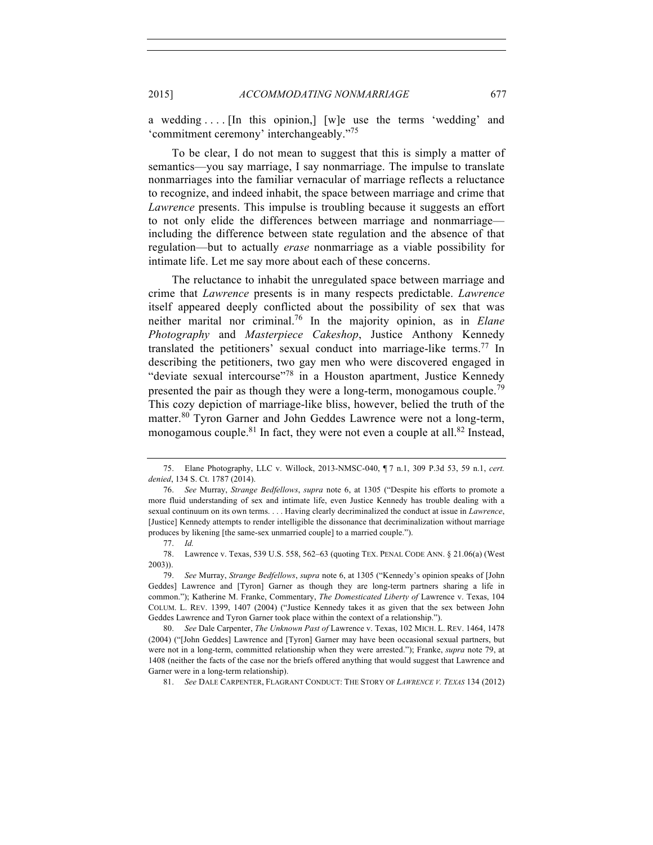a wedding . . . . [In this opinion,] [w]e use the terms 'wedding' and 'commitment ceremony' interchangeably."<sup>75</sup>

To be clear, I do not mean to suggest that this is simply a matter of semantics—you say marriage, I say nonmarriage. The impulse to translate nonmarriages into the familiar vernacular of marriage reflects a reluctance to recognize, and indeed inhabit, the space between marriage and crime that *Lawrence* presents. This impulse is troubling because it suggests an effort to not only elide the differences between marriage and nonmarriage including the difference between state regulation and the absence of that regulation—but to actually *erase* nonmarriage as a viable possibility for intimate life. Let me say more about each of these concerns.

The reluctance to inhabit the unregulated space between marriage and crime that *Lawrence* presents is in many respects predictable. *Lawrence* itself appeared deeply conflicted about the possibility of sex that was neither marital nor criminal.76 In the majority opinion, as in *Elane Photography* and *Masterpiece Cakeshop*, Justice Anthony Kennedy translated the petitioners' sexual conduct into marriage-like terms.<sup>77</sup> In describing the petitioners, two gay men who were discovered engaged in "deviate sexual intercourse"<sup>78</sup> in a Houston apartment, Justice Kennedy presented the pair as though they were a long-term, monogamous couple.<sup>79</sup> This cozy depiction of marriage-like bliss, however, belied the truth of the matter.<sup>80</sup> Tyron Garner and John Geddes Lawrence were not a long-term, monogamous couple.<sup>81</sup> In fact, they were not even a couple at all.<sup>82</sup> Instead,

81. *See* DALE CARPENTER, FLAGRANT CONDUCT: THE STORY OF *LAWRENCE V. TEXAS* 134 (2012)

<sup>75.</sup> Elane Photography, LLC v. Willock, 2013-NMSC-040, ¶ 7 n.1, 309 P.3d 53, 59 n.1, *cert. denied*, 134 S. Ct. 1787 (2014).

<sup>76.</sup> *See* Murray, *Strange Bedfellows*, *supra* note 6, at 1305 ("Despite his efforts to promote a more fluid understanding of sex and intimate life, even Justice Kennedy has trouble dealing with a sexual continuum on its own terms. . . . Having clearly decriminalized the conduct at issue in *Lawrence*, [Justice] Kennedy attempts to render intelligible the dissonance that decriminalization without marriage produces by likening [the same-sex unmarried couple] to a married couple.").

<sup>77.</sup> *Id.*

<sup>78.</sup> Lawrence v. Texas, 539 U.S. 558, 562–63 (quoting TEX. PENAL CODE ANN. § 21.06(a) (West 2003)).

<sup>79.</sup> *See* Murray, *Strange Bedfellows*, *supra* note 6, at 1305 ("Kennedy's opinion speaks of [John Geddes] Lawrence and [Tyron] Garner as though they are long-term partners sharing a life in common."); Katherine M. Franke, Commentary, *The Domesticated Liberty of* Lawrence v. Texas, 104 COLUM. L. REV. 1399, 1407 (2004) ("Justice Kennedy takes it as given that the sex between John Geddes Lawrence and Tyron Garner took place within the context of a relationship.").

<sup>80.</sup> *See* Dale Carpenter, *The Unknown Past of* Lawrence v. Texas, 102 MICH. L. REV. 1464, 1478 (2004) ("[John Geddes] Lawrence and [Tyron] Garner may have been occasional sexual partners, but were not in a long-term, committed relationship when they were arrested."); Franke, *supra* note 79, at 1408 (neither the facts of the case nor the briefs offered anything that would suggest that Lawrence and Garner were in a long-term relationship).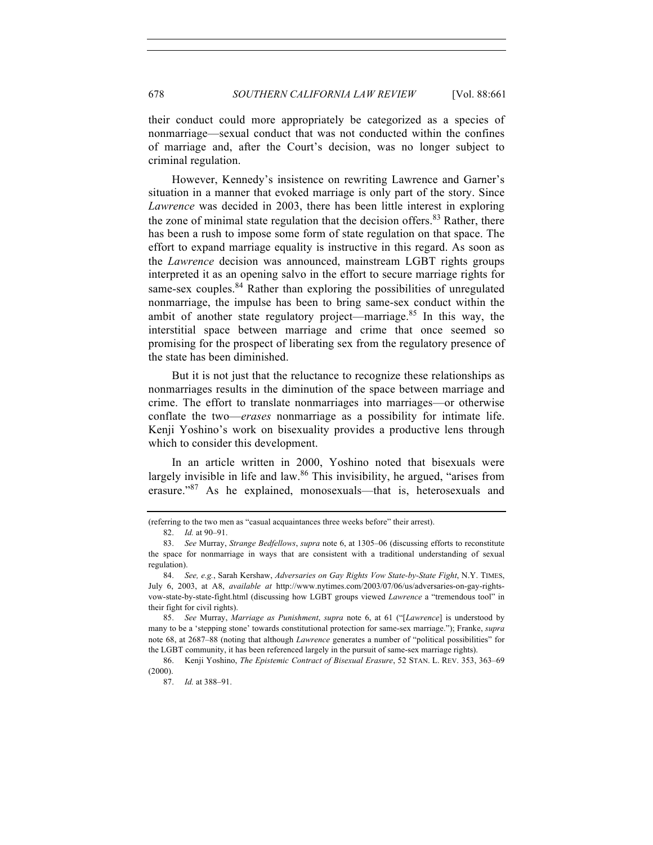their conduct could more appropriately be categorized as a species of nonmarriage—sexual conduct that was not conducted within the confines of marriage and, after the Court's decision, was no longer subject to criminal regulation.

However, Kennedy's insistence on rewriting Lawrence and Garner's situation in a manner that evoked marriage is only part of the story. Since *Lawrence* was decided in 2003, there has been little interest in exploring the zone of minimal state regulation that the decision offers. $83$  Rather, there has been a rush to impose some form of state regulation on that space. The effort to expand marriage equality is instructive in this regard. As soon as the *Lawrence* decision was announced, mainstream LGBT rights groups interpreted it as an opening salvo in the effort to secure marriage rights for same-sex couples.  $84$  Rather than exploring the possibilities of unregulated nonmarriage, the impulse has been to bring same-sex conduct within the ambit of another state regulatory project—marriage. $85$  In this way, the interstitial space between marriage and crime that once seemed so promising for the prospect of liberating sex from the regulatory presence of the state has been diminished.

But it is not just that the reluctance to recognize these relationships as nonmarriages results in the diminution of the space between marriage and crime. The effort to translate nonmarriages into marriages—or otherwise conflate the two—*erases* nonmarriage as a possibility for intimate life. Kenji Yoshino's work on bisexuality provides a productive lens through which to consider this development.

In an article written in 2000, Yoshino noted that bisexuals were largely invisible in life and law.<sup>86</sup> This invisibility, he argued, "arises from erasure."<sup>87</sup> As he explained, monosexuals—that is, heterosexuals and

<sup>(</sup>referring to the two men as "casual acquaintances three weeks before" their arrest).

<sup>82.</sup> *Id.* at 90–91.

<sup>83.</sup> *See* Murray, *Strange Bedfellows*, *supra* note 6, at 1305–06 (discussing efforts to reconstitute the space for nonmarriage in ways that are consistent with a traditional understanding of sexual regulation).

<sup>84.</sup> *See, e.g.*, Sarah Kershaw, *Adversaries on Gay Rights Vow State-by-State Fight*, N.Y. TIMES, July 6, 2003, at A8, *available at* http://www.nytimes.com/2003/07/06/us/adversaries-on-gay-rightsvow-state-by-state-fight.html (discussing how LGBT groups viewed *Lawrence* a "tremendous tool" in their fight for civil rights).

<sup>85.</sup> *See* Murray, *Marriage as Punishment*, *supra* note 6, at 61 ("[*Lawrence*] is understood by many to be a 'stepping stone' towards constitutional protection for same-sex marriage."); Franke, *supra*  note 68, at 2687–88 (noting that although *Lawrence* generates a number of "political possibilities" for the LGBT community, it has been referenced largely in the pursuit of same-sex marriage rights).

<sup>86.</sup> Kenji Yoshino, *The Epistemic Contract of Bisexual Erasure*, 52 STAN. L. REV. 353, 363–69 (2000).

<sup>87.</sup> *Id.* at 388–91.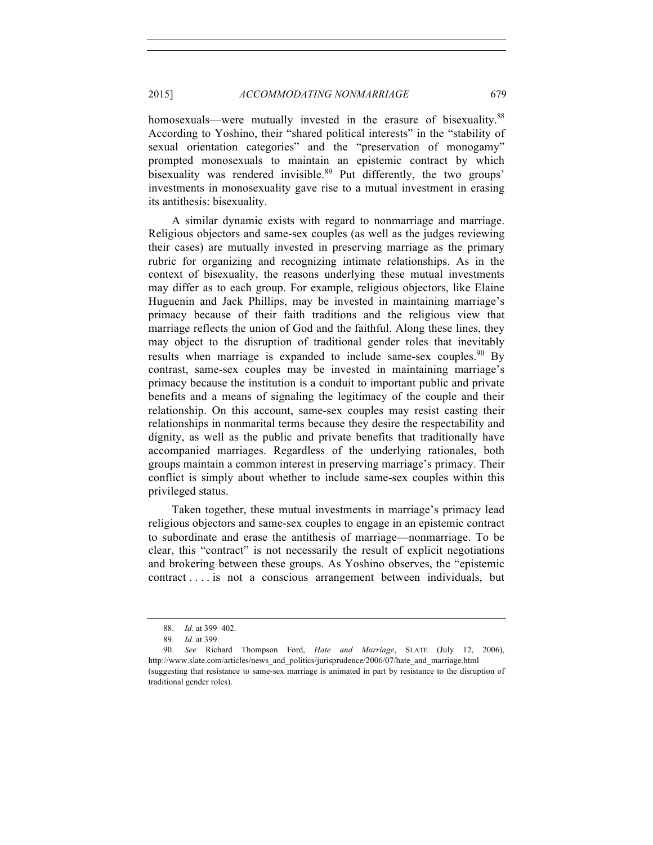2015] *ACCOMMODATING NONMARRIAGE* 679

homosexuals—were mutually invested in the erasure of bisexuality.<sup>88</sup> According to Yoshino, their "shared political interests" in the "stability of sexual orientation categories" and the "preservation of monogamy" prompted monosexuals to maintain an epistemic contract by which bisexuality was rendered invisible.<sup>89</sup> Put differently, the two groups' investments in monosexuality gave rise to a mutual investment in erasing its antithesis: bisexuality.

A similar dynamic exists with regard to nonmarriage and marriage. Religious objectors and same-sex couples (as well as the judges reviewing their cases) are mutually invested in preserving marriage as the primary rubric for organizing and recognizing intimate relationships. As in the context of bisexuality, the reasons underlying these mutual investments may differ as to each group. For example, religious objectors, like Elaine Huguenin and Jack Phillips, may be invested in maintaining marriage's primacy because of their faith traditions and the religious view that marriage reflects the union of God and the faithful. Along these lines, they may object to the disruption of traditional gender roles that inevitably results when marriage is expanded to include same-sex couples. <sup>90</sup> By contrast, same-sex couples may be invested in maintaining marriage's primacy because the institution is a conduit to important public and private benefits and a means of signaling the legitimacy of the couple and their relationship. On this account, same-sex couples may resist casting their relationships in nonmarital terms because they desire the respectability and dignity, as well as the public and private benefits that traditionally have accompanied marriages. Regardless of the underlying rationales, both groups maintain a common interest in preserving marriage's primacy. Their conflict is simply about whether to include same-sex couples within this privileged status.

Taken together, these mutual investments in marriage's primacy lead religious objectors and same-sex couples to engage in an epistemic contract to subordinate and erase the antithesis of marriage—nonmarriage. To be clear, this "contract" is not necessarily the result of explicit negotiations and brokering between these groups. As Yoshino observes, the "epistemic contract . . . . is not a conscious arrangement between individuals, but

<sup>88.</sup> *Id.* at 399–402.

<sup>89.</sup> *Id.* at 399.

<sup>90.</sup> *See* Richard Thompson Ford, *Hate and Marriage*, SLATE (July 12, 2006), http://www.slate.com/articles/news\_and\_politics/jurisprudence/2006/07/hate\_and\_marriage.html (suggesting that resistance to same-sex marriage is animated in part by resistance to the disruption of traditional gender roles).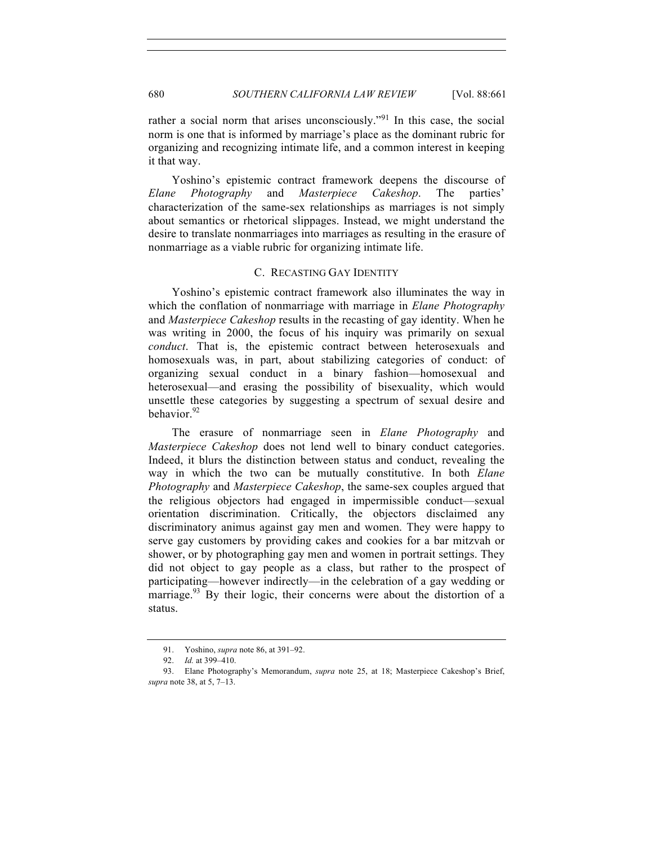rather a social norm that arises unconsciously."<sup>91</sup> In this case, the social norm is one that is informed by marriage's place as the dominant rubric for organizing and recognizing intimate life, and a common interest in keeping it that way.

Yoshino's epistemic contract framework deepens the discourse of *Elane Photography* and *Masterpiece Cakeshop*. The parties' characterization of the same-sex relationships as marriages is not simply about semantics or rhetorical slippages. Instead, we might understand the desire to translate nonmarriages into marriages as resulting in the erasure of nonmarriage as a viable rubric for organizing intimate life.

### C. RECASTING GAY IDENTITY

Yoshino's epistemic contract framework also illuminates the way in which the conflation of nonmarriage with marriage in *Elane Photography*  and *Masterpiece Cakeshop* results in the recasting of gay identity. When he was writing in 2000, the focus of his inquiry was primarily on sexual *conduct*. That is, the epistemic contract between heterosexuals and homosexuals was, in part, about stabilizing categories of conduct: of organizing sexual conduct in a binary fashion—homosexual and heterosexual—and erasing the possibility of bisexuality, which would unsettle these categories by suggesting a spectrum of sexual desire and behavior. $92$ 

The erasure of nonmarriage seen in *Elane Photography* and *Masterpiece Cakeshop* does not lend well to binary conduct categories. Indeed, it blurs the distinction between status and conduct, revealing the way in which the two can be mutually constitutive. In both *Elane Photography* and *Masterpiece Cakeshop*, the same-sex couples argued that the religious objectors had engaged in impermissible conduct—sexual orientation discrimination. Critically, the objectors disclaimed any discriminatory animus against gay men and women. They were happy to serve gay customers by providing cakes and cookies for a bar mitzvah or shower, or by photographing gay men and women in portrait settings. They did not object to gay people as a class, but rather to the prospect of participating—however indirectly—in the celebration of a gay wedding or marriage.<sup>93</sup> By their logic, their concerns were about the distortion of a status.

<sup>91.</sup> Yoshino, *supra* note 86, at 391–92.

<sup>92.</sup> *Id.* at 399–410.

<sup>93.</sup> Elane Photography's Memorandum, *supra* note 25, at 18; Masterpiece Cakeshop's Brief, *supra* note 38, at 5, 7–13.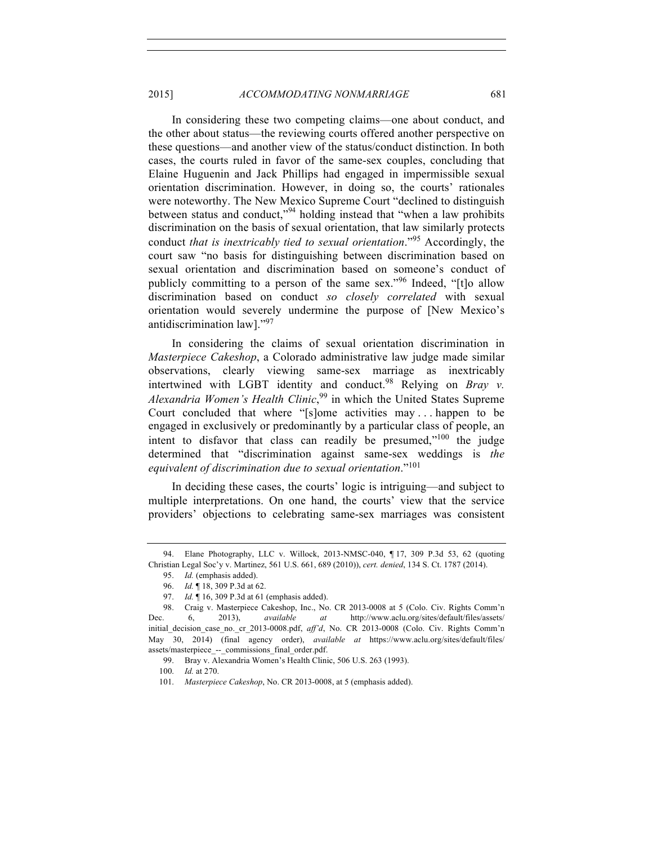In considering these two competing claims—one about conduct, and the other about status—the reviewing courts offered another perspective on these questions—and another view of the status/conduct distinction. In both cases, the courts ruled in favor of the same-sex couples, concluding that Elaine Huguenin and Jack Phillips had engaged in impermissible sexual orientation discrimination. However, in doing so, the courts' rationales were noteworthy. The New Mexico Supreme Court "declined to distinguish between status and conduct,"<sup>94</sup> holding instead that "when a law prohibits discrimination on the basis of sexual orientation, that law similarly protects conduct *that is inextricably tied to sexual orientation*."<sup>95</sup> Accordingly, the court saw "no basis for distinguishing between discrimination based on sexual orientation and discrimination based on someone's conduct of publicly committing to a person of the same sex."<sup>96</sup> Indeed, "[t]o allow discrimination based on conduct *so closely correlated* with sexual orientation would severely undermine the purpose of [New Mexico's antidiscrimination law]."<sup>97</sup>

In considering the claims of sexual orientation discrimination in *Masterpiece Cakeshop*, a Colorado administrative law judge made similar observations, clearly viewing same-sex marriage as inextricably intertwined with LGBT identity and conduct.<sup>98</sup> Relying on *Bray v. Alexandria Women's Health Clinic*, <sup>99</sup> in which the United States Supreme Court concluded that where "[s]ome activities may . . . happen to be engaged in exclusively or predominantly by a particular class of people, an intent to disfavor that class can readily be presumed,"<sup>100</sup> the judge determined that "discrimination against same-sex weddings is *the equivalent of discrimination due to sexual orientation*."<sup>101</sup>

In deciding these cases, the courts' logic is intriguing—and subject to multiple interpretations. On one hand, the courts' view that the service providers' objections to celebrating same-sex marriages was consistent

<sup>94.</sup> Elane Photography, LLC v. Willock, 2013-NMSC-040, ¶ 17, 309 P.3d 53, 62 (quoting Christian Legal Soc'y v. Martinez, 561 U.S. 661, 689 (2010)), *cert. denied*, 134 S. Ct. 1787 (2014).

<sup>95.</sup> *Id.* (emphasis added).

<sup>96.</sup> *Id.* ¶ 18, 309 P.3d at 62.

<sup>97.</sup> *Id.* ¶ 16, 309 P.3d at 61 (emphasis added).

<sup>98.</sup> Craig v. Masterpiece Cakeshop, Inc., No. CR 2013-0008 at 5 (Colo. Civ. Rights Comm'n Dec. 6, 2013), *available at* http://www.aclu.org/sites/default/files/assets/ initial\_decision\_case\_no.\_cr\_2013-0008.pdf, *aff'd*, No. CR 2013-0008 (Colo. Civ. Rights Comm'n May 30, 2014) (final agency order), *available at* https://www.aclu.org/sites/default/files/ assets/masterpiece\_--\_commissions\_final\_order.pdf.

<sup>99.</sup> Bray v. Alexandria Women's Health Clinic, 506 U.S. 263 (1993).

<sup>100.</sup> *Id.* at 270.

<sup>101.</sup> *Masterpiece Cakeshop*, No. CR 2013-0008, at 5 (emphasis added).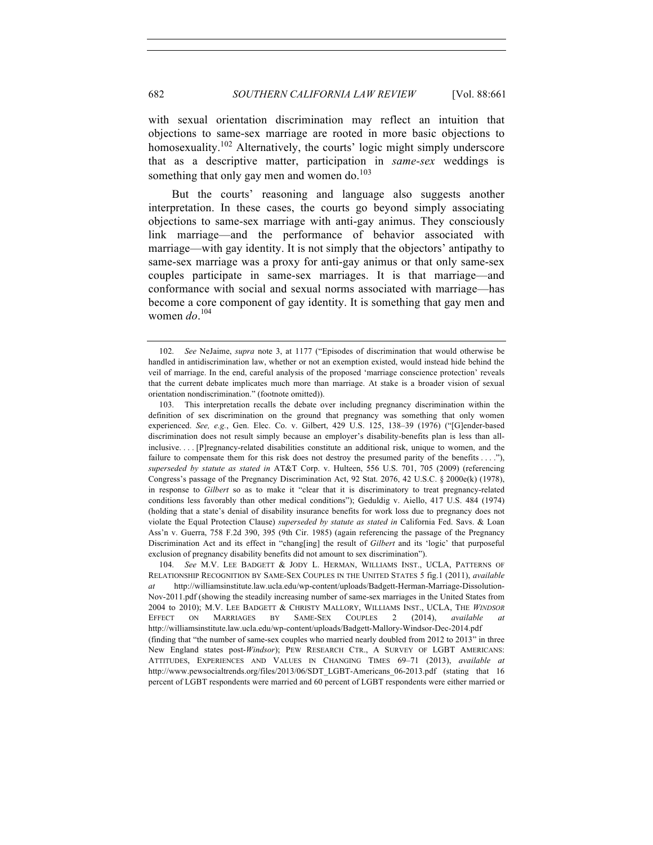with sexual orientation discrimination may reflect an intuition that objections to same-sex marriage are rooted in more basic objections to homosexuality.<sup>102</sup> Alternatively, the courts' logic might simply underscore that as a descriptive matter, participation in *same-sex* weddings is something that only gay men and women do. $103$ 

But the courts' reasoning and language also suggests another interpretation. In these cases, the courts go beyond simply associating objections to same-sex marriage with anti-gay animus. They consciously link marriage—and the performance of behavior associated with marriage—with gay identity. It is not simply that the objectors' antipathy to same-sex marriage was a proxy for anti-gay animus or that only same-sex couples participate in same-sex marriages. It is that marriage—and conformance with social and sexual norms associated with marriage—has become a core component of gay identity. It is something that gay men and women *do*. 104

<sup>102.</sup> *See* NeJaime, *supra* note 3, at 1177 ("Episodes of discrimination that would otherwise be handled in antidiscrimination law, whether or not an exemption existed, would instead hide behind the veil of marriage. In the end, careful analysis of the proposed 'marriage conscience protection' reveals that the current debate implicates much more than marriage. At stake is a broader vision of sexual orientation nondiscrimination." (footnote omitted)).

<sup>103.</sup> This interpretation recalls the debate over including pregnancy discrimination within the definition of sex discrimination on the ground that pregnancy was something that only women experienced. *See, e.g.*, Gen. Elec. Co. v. Gilbert, 429 U.S. 125, 138–39 (1976) ("[G]ender-based discrimination does not result simply because an employer's disability-benefits plan is less than allinclusive. . . . [P]regnancy-related disabilities constitute an additional risk, unique to women, and the failure to compensate them for this risk does not destroy the presumed parity of the benefits . . . ."), *superseded by statute as stated in* AT&T Corp. v. Hulteen, 556 U.S. 701, 705 (2009) (referencing Congress's passage of the Pregnancy Discrimination Act, 92 Stat. 2076, 42 U.S.C. § 2000e(k) (1978), in response to *Gilbert* so as to make it "clear that it is discriminatory to treat pregnancy-related conditions less favorably than other medical conditions"); Geduldig v. Aiello, 417 U.S. 484 (1974) (holding that a state's denial of disability insurance benefits for work loss due to pregnancy does not violate the Equal Protection Clause) *superseded by statute as stated in* California Fed. Savs. & Loan Ass'n v. Guerra, 758 F.2d 390, 395 (9th Cir. 1985) (again referencing the passage of the Pregnancy Discrimination Act and its effect in "chang[ing] the result of *Gilbert* and its 'logic' that purposeful exclusion of pregnancy disability benefits did not amount to sex discrimination").

<sup>104.</sup> *See* M.V. LEE BADGETT & JODY L. HERMAN, WILLIAMS INST., UCLA, PATTERNS OF RELATIONSHIP RECOGNITION BY SAME-SEX COUPLES IN THE UNITED STATES 5 fig.1 (2011), *available at* http://williamsinstitute.law.ucla.edu/wp-content/uploads/Badgett-Herman-Marriage-Dissolution-Nov-2011.pdf (showing the steadily increasing number of same-sex marriages in the United States from 2004 to 2010); M.V. LEE BADGETT & CHRISTY MALLORY, WILLIAMS INST., UCLA, THE *WINDSOR* EFFECT ON MARRIAGES BY SAME-SEX COUPLES 2 (2014), *available at*  http://williamsinstitute.law.ucla.edu/wp-content/uploads/Badgett-Mallory-Windsor-Dec-2014.pdf (finding that "the number of same-sex couples who married nearly doubled from 2012 to 2013" in three New England states post-*Windsor*); PEW RESEARCH CTR., A SURVEY OF LGBT AMERICANS: ATTITUDES, EXPERIENCES AND VALUES IN CHANGING TIMES 69–71 (2013), *available at*  http://www.pewsocialtrends.org/files/2013/06/SDT\_LGBT-Americans\_06-2013.pdf (stating that 16 percent of LGBT respondents were married and 60 percent of LGBT respondents were either married or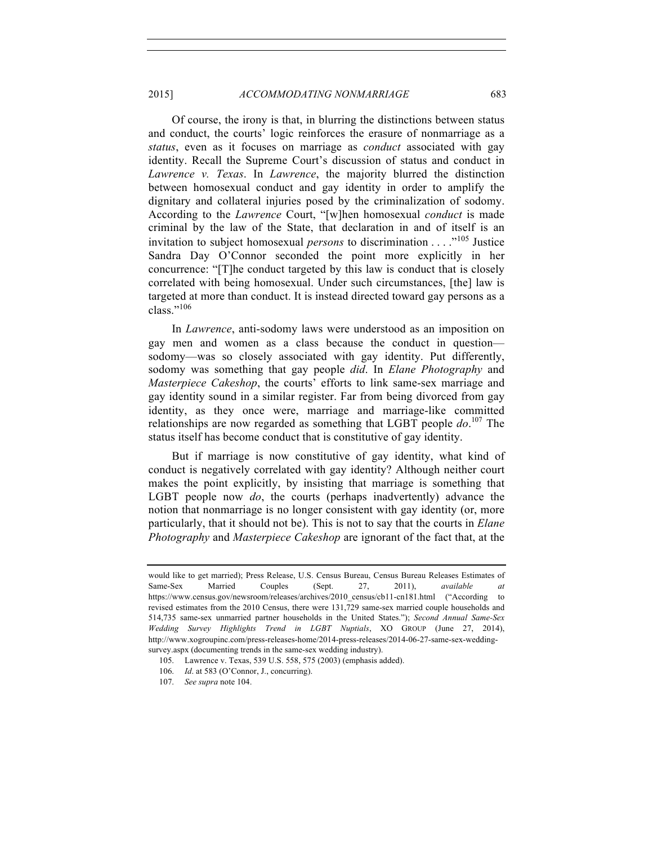# 2015] *ACCOMMODATING NONMARRIAGE* 683

Of course, the irony is that, in blurring the distinctions between status and conduct, the courts' logic reinforces the erasure of nonmarriage as a *status*, even as it focuses on marriage as *conduct* associated with gay identity. Recall the Supreme Court's discussion of status and conduct in *Lawrence v. Texas*. In *Lawrence*, the majority blurred the distinction between homosexual conduct and gay identity in order to amplify the dignitary and collateral injuries posed by the criminalization of sodomy. According to the *Lawrence* Court, "[w]hen homosexual *conduct* is made criminal by the law of the State, that declaration in and of itself is an invitation to subject homosexual *persons* to discrimination . . . ."<sup>105</sup> Justice Sandra Day O'Connor seconded the point more explicitly in her concurrence: "[T]he conduct targeted by this law is conduct that is closely correlated with being homosexual. Under such circumstances, [the] law is targeted at more than conduct. It is instead directed toward gay persons as a class."<sup>106</sup>

In *Lawrence*, anti-sodomy laws were understood as an imposition on gay men and women as a class because the conduct in question sodomy—was so closely associated with gay identity. Put differently, sodomy was something that gay people *did*. In *Elane Photography* and *Masterpiece Cakeshop*, the courts' efforts to link same-sex marriage and gay identity sound in a similar register. Far from being divorced from gay identity, as they once were, marriage and marriage-like committed relationships are now regarded as something that LGBT people *do*. <sup>107</sup> The status itself has become conduct that is constitutive of gay identity.

But if marriage is now constitutive of gay identity, what kind of conduct is negatively correlated with gay identity? Although neither court makes the point explicitly, by insisting that marriage is something that LGBT people now *do*, the courts (perhaps inadvertently) advance the notion that nonmarriage is no longer consistent with gay identity (or, more particularly, that it should not be). This is not to say that the courts in *Elane Photography* and *Masterpiece Cakeshop* are ignorant of the fact that, at the

would like to get married); Press Release, U.S. Census Bureau, Census Bureau Releases Estimates of Same-Sex Married Couples (Sept. 27, 2011), *available at*  https://www.census.gov/newsroom/releases/archives/2010\_census/cb11-cn181.html ("According to revised estimates from the 2010 Census, there were 131,729 same-sex married couple households and 514,735 same-sex unmarried partner households in the United States."); *Second Annual Same-Sex Wedding Survey Highlights Trend in LGBT Nuptials*, XO GROUP (June 27, 2014), http://www.xogroupinc.com/press-releases-home/2014-press-releases/2014-06-27-same-sex-weddingsurvey.aspx (documenting trends in the same-sex wedding industry).

<sup>105.</sup> Lawrence v. Texas, 539 U.S. 558, 575 (2003) (emphasis added).

<sup>106.</sup> *Id*. at 583 (O'Connor, J., concurring).

<sup>107.</sup> *See supra* note 104.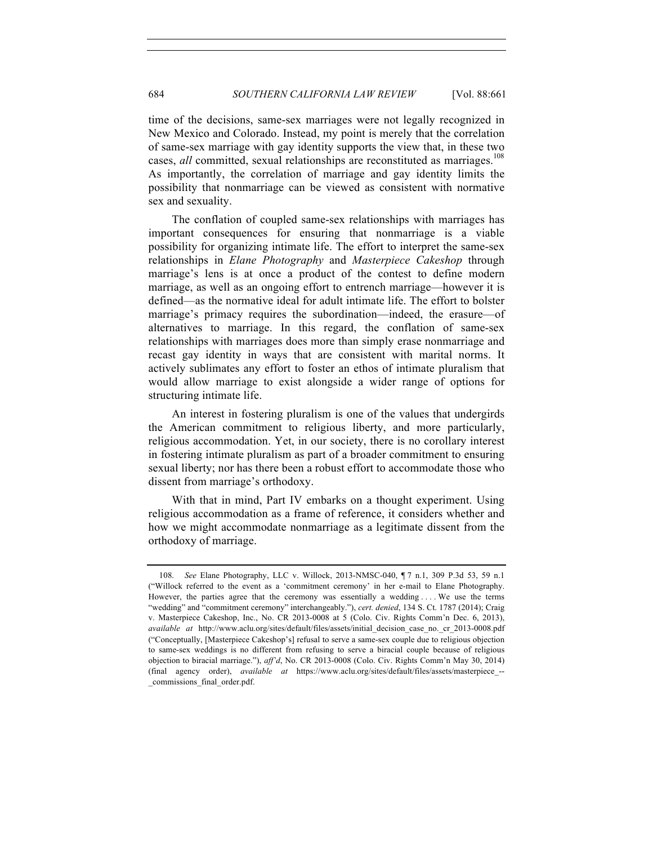time of the decisions, same-sex marriages were not legally recognized in New Mexico and Colorado. Instead, my point is merely that the correlation of same-sex marriage with gay identity supports the view that, in these two cases, *all* committed, sexual relationships are reconstituted as marriages.<sup>108</sup> As importantly, the correlation of marriage and gay identity limits the possibility that nonmarriage can be viewed as consistent with normative sex and sexuality.

The conflation of coupled same-sex relationships with marriages has important consequences for ensuring that nonmarriage is a viable possibility for organizing intimate life. The effort to interpret the same-sex relationships in *Elane Photography* and *Masterpiece Cakeshop* through marriage's lens is at once a product of the contest to define modern marriage, as well as an ongoing effort to entrench marriage—however it is defined—as the normative ideal for adult intimate life. The effort to bolster marriage's primacy requires the subordination—indeed, the erasure—of alternatives to marriage. In this regard, the conflation of same-sex relationships with marriages does more than simply erase nonmarriage and recast gay identity in ways that are consistent with marital norms. It actively sublimates any effort to foster an ethos of intimate pluralism that would allow marriage to exist alongside a wider range of options for structuring intimate life.

An interest in fostering pluralism is one of the values that undergirds the American commitment to religious liberty, and more particularly, religious accommodation. Yet, in our society, there is no corollary interest in fostering intimate pluralism as part of a broader commitment to ensuring sexual liberty; nor has there been a robust effort to accommodate those who dissent from marriage's orthodoxy.

With that in mind, Part IV embarks on a thought experiment. Using religious accommodation as a frame of reference, it considers whether and how we might accommodate nonmarriage as a legitimate dissent from the orthodoxy of marriage.

<sup>108.</sup> *See* Elane Photography, LLC v. Willock, 2013-NMSC-040, ¶ 7 n.1, 309 P.3d 53, 59 n.1 ("Willock referred to the event as a 'commitment ceremony' in her e-mail to Elane Photography. However, the parties agree that the ceremony was essentially a wedding . . . . We use the terms "wedding" and "commitment ceremony" interchangeably."), *cert. denied*, 134 S. Ct. 1787 (2014); Craig v. Masterpiece Cakeshop, Inc., No. CR 2013-0008 at 5 (Colo. Civ. Rights Comm'n Dec. 6, 2013), *available at* http://www.aclu.org/sites/default/files/assets/initial\_decision\_case\_no.\_cr\_2013-0008.pdf ("Conceptually, [Masterpiece Cakeshop's] refusal to serve a same-sex couple due to religious objection to same-sex weddings is no different from refusing to serve a biracial couple because of religious objection to biracial marriage."), *aff'd*, No. CR 2013-0008 (Colo. Civ. Rights Comm'n May 30, 2014) (final agency order), *available at* https://www.aclu.org/sites/default/files/assets/masterpiece\_-- \_commissions\_final\_order.pdf.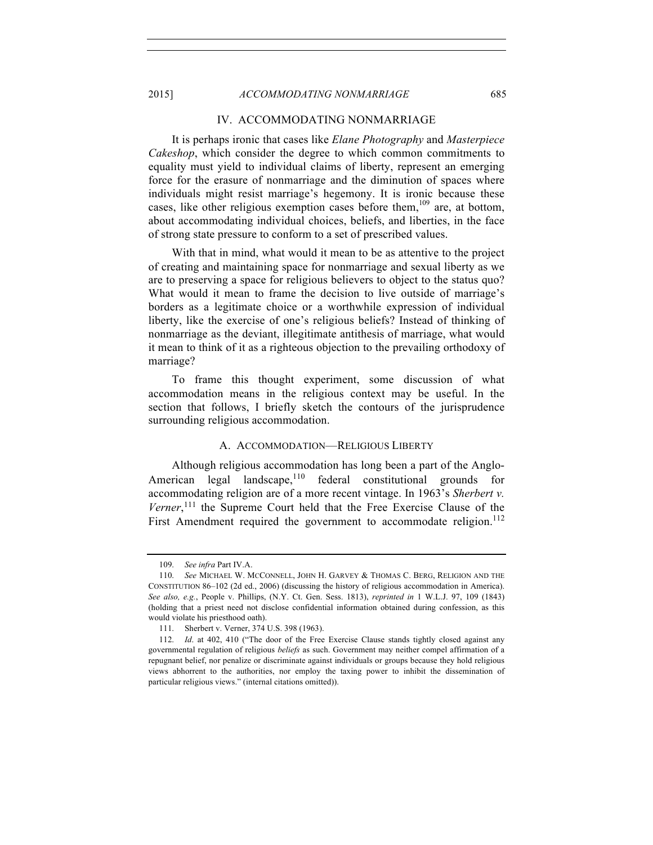## IV. ACCOMMODATING NONMARRIAGE

It is perhaps ironic that cases like *Elane Photography* and *Masterpiece Cakeshop*, which consider the degree to which common commitments to equality must yield to individual claims of liberty, represent an emerging force for the erasure of nonmarriage and the diminution of spaces where individuals might resist marriage's hegemony. It is ironic because these cases, like other religious exemption cases before them,  $109$  are, at bottom, about accommodating individual choices, beliefs, and liberties, in the face of strong state pressure to conform to a set of prescribed values.

With that in mind, what would it mean to be as attentive to the project of creating and maintaining space for nonmarriage and sexual liberty as we are to preserving a space for religious believers to object to the status quo? What would it mean to frame the decision to live outside of marriage's borders as a legitimate choice or a worthwhile expression of individual liberty, like the exercise of one's religious beliefs? Instead of thinking of nonmarriage as the deviant, illegitimate antithesis of marriage, what would it mean to think of it as a righteous objection to the prevailing orthodoxy of marriage?

To frame this thought experiment, some discussion of what accommodation means in the religious context may be useful. In the section that follows, I briefly sketch the contours of the jurisprudence surrounding religious accommodation.

# A. ACCOMMODATION—RELIGIOUS LIBERTY

Although religious accommodation has long been a part of the Anglo-American legal landscape,<sup>110</sup> federal constitutional grounds for accommodating religion are of a more recent vintage. In 1963's *Sherbert v.*  Verner,<sup>111</sup> the Supreme Court held that the Free Exercise Clause of the First Amendment required the government to accommodate religion.<sup>112</sup>

<sup>109.</sup> *See infra* Part IV.A.

<sup>110.</sup> *See* MICHAEL W. MCCONNELL, JOHN H. GARVEY & THOMAS C. BERG, RELIGION AND THE CONSTITUTION 86–102 (2d ed., 2006) (discussing the history of religious accommodation in America). *See also, e.g.*, People v. Phillips, (N.Y. Ct. Gen. Sess. 1813), *reprinted in* 1 W.L.J. 97, 109 (1843) (holding that a priest need not disclose confidential information obtained during confession, as this would violate his priesthood oath).

<sup>111.</sup> Sherbert v. Verner, 374 U.S. 398 (1963).

<sup>112.</sup> *Id*. at 402, 410 ("The door of the Free Exercise Clause stands tightly closed against any governmental regulation of religious *beliefs* as such. Government may neither compel affirmation of a repugnant belief, nor penalize or discriminate against individuals or groups because they hold religious views abhorrent to the authorities, nor employ the taxing power to inhibit the dissemination of particular religious views." (internal citations omitted)).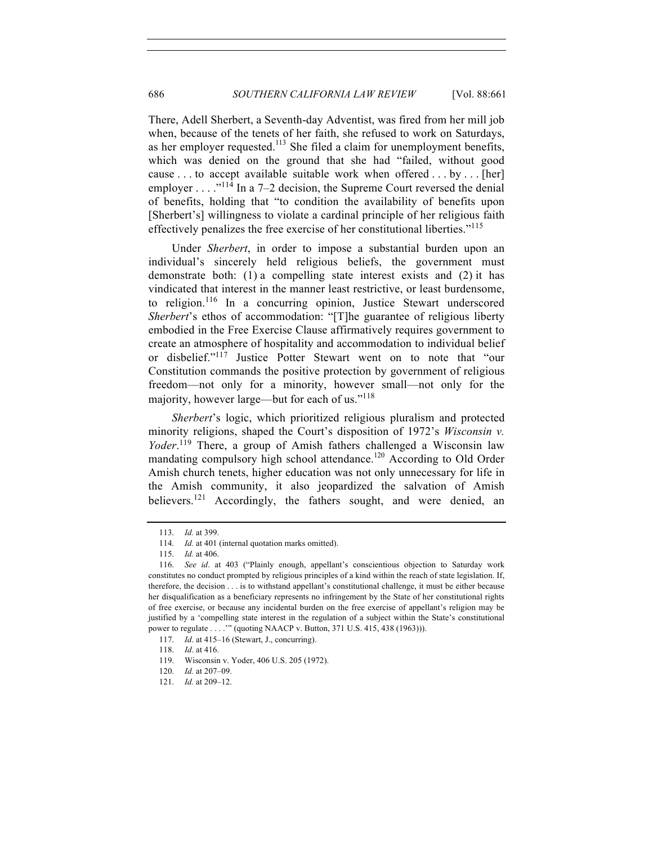There, Adell Sherbert, a Seventh-day Adventist, was fired from her mill job when, because of the tenets of her faith, she refused to work on Saturdays, as her employer requested.<sup>113</sup> She filed a claim for unemployment benefits, which was denied on the ground that she had "failed, without good cause . . . to accept available suitable work when offered . . . by . . . [her] employer  $\dots$ <sup>"114</sup> In a 7–2 decision, the Supreme Court reversed the denial of benefits, holding that "to condition the availability of benefits upon [Sherbert's] willingness to violate a cardinal principle of her religious faith effectively penalizes the free exercise of her constitutional liberties."<sup>115</sup>

Under *Sherbert*, in order to impose a substantial burden upon an individual's sincerely held religious beliefs, the government must demonstrate both: (1) a compelling state interest exists and (2) it has vindicated that interest in the manner least restrictive, or least burdensome, to religion.<sup>116</sup> In a concurring opinion, Justice Stewart underscored *Sherbert*'s ethos of accommodation: "[T]he guarantee of religious liberty embodied in the Free Exercise Clause affirmatively requires government to create an atmosphere of hospitality and accommodation to individual belief or disbelief."<sup>117</sup> Justice Potter Stewart went on to note that "our Constitution commands the positive protection by government of religious freedom—not only for a minority, however small—not only for the majority, however large—but for each of us."118

*Sherbert*'s logic, which prioritized religious pluralism and protected minority religions, shaped the Court's disposition of 1972's *Wisconsin v. Yoder*. <sup>119</sup> There, a group of Amish fathers challenged a Wisconsin law mandating compulsory high school attendance.<sup>120</sup> According to Old Order Amish church tenets, higher education was not only unnecessary for life in the Amish community, it also jeopardized the salvation of Amish believers.<sup>121</sup> Accordingly, the fathers sought, and were denied, an

<sup>113.</sup> *Id.* at 399.

<sup>114.</sup> *Id.* at 401 (internal quotation marks omitted).

<sup>115.</sup> *Id.* at 406.

<sup>116.</sup> *See id*. at 403 ("Plainly enough, appellant's conscientious objection to Saturday work constitutes no conduct prompted by religious principles of a kind within the reach of state legislation. If, therefore, the decision . . . is to withstand appellant's constitutional challenge, it must be either because her disqualification as a beneficiary represents no infringement by the State of her constitutional rights of free exercise, or because any incidental burden on the free exercise of appellant's religion may be justified by a 'compelling state interest in the regulation of a subject within the State's constitutional power to regulate . . . .'" (quoting NAACP v. Button, 371 U.S. 415, 438 (1963))).

<sup>117.</sup> *Id*. at 415–16 (Stewart, J., concurring).

<sup>118.</sup> *Id*. at 416.

<sup>119.</sup> Wisconsin v. Yoder, 406 U.S. 205 (1972).

<sup>120.</sup> *Id.* at 207–09.

<sup>121.</sup> *Id.* at 209–12.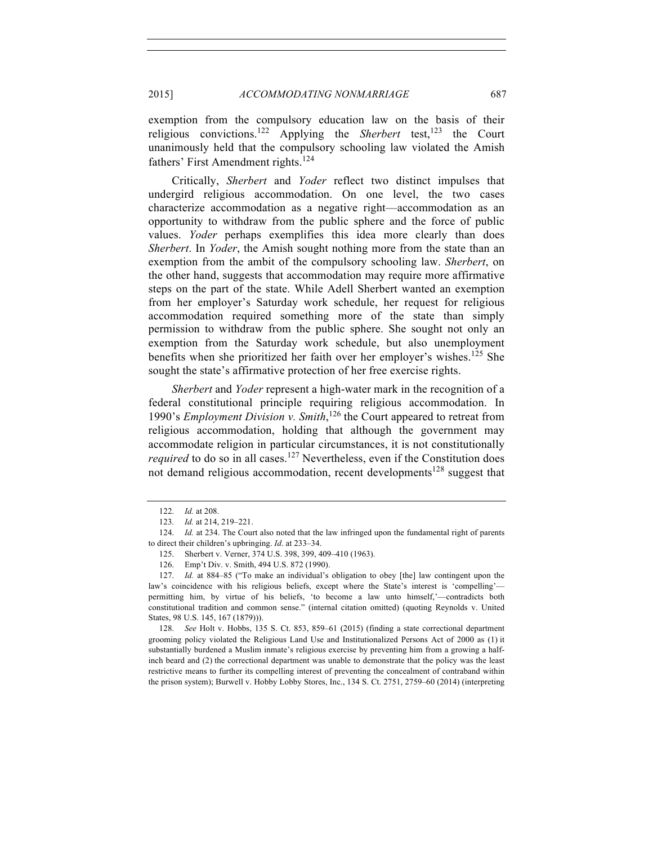exemption from the compulsory education law on the basis of their religious convictions.<sup>122</sup> Applying the *Sherbert* test,<sup>123</sup> the Court unanimously held that the compulsory schooling law violated the Amish fathers' First Amendment rights.<sup>124</sup>

Critically, *Sherbert* and *Yoder* reflect two distinct impulses that undergird religious accommodation. On one level, the two cases characterize accommodation as a negative right—accommodation as an opportunity to withdraw from the public sphere and the force of public values. *Yoder* perhaps exemplifies this idea more clearly than does *Sherbert*. In *Yoder*, the Amish sought nothing more from the state than an exemption from the ambit of the compulsory schooling law. *Sherbert*, on the other hand, suggests that accommodation may require more affirmative steps on the part of the state. While Adell Sherbert wanted an exemption from her employer's Saturday work schedule, her request for religious accommodation required something more of the state than simply permission to withdraw from the public sphere. She sought not only an exemption from the Saturday work schedule, but also unemployment benefits when she prioritized her faith over her employer's wishes.<sup>125</sup> She sought the state's affirmative protection of her free exercise rights.

*Sherbert* and *Yoder* represent a high-water mark in the recognition of a federal constitutional principle requiring religious accommodation. In 1990's *Employment Division v. Smith*, <sup>126</sup> the Court appeared to retreat from religious accommodation, holding that although the government may accommodate religion in particular circumstances, it is not constitutionally *required* to do so in all cases.<sup>127</sup> Nevertheless, even if the Constitution does not demand religious accommodation, recent developments<sup>128</sup> suggest that

128. *See* Holt v. Hobbs, 135 S. Ct. 853, 859–61 (2015) (finding a state correctional department grooming policy violated the Religious Land Use and Institutionalized Persons Act of 2000 as (1) it substantially burdened a Muslim inmate's religious exercise by preventing him from a growing a halfinch beard and (2) the correctional department was unable to demonstrate that the policy was the least restrictive means to further its compelling interest of preventing the concealment of contraband within the prison system); Burwell v. Hobby Lobby Stores, Inc., 134 S. Ct. 2751, 2759–60 (2014) (interpreting

<sup>122.</sup> *Id.* at 208.

<sup>123.</sup> *Id.* at 214, 219–221.

<sup>124.</sup> *Id.* at 234. The Court also noted that the law infringed upon the fundamental right of parents to direct their children's upbringing. *Id*. at 233–34.

<sup>125.</sup> Sherbert v. Verner, 374 U.S. 398, 399, 409–410 (1963).

<sup>126.</sup> Emp't Div. v. Smith, 494 U.S. 872 (1990).

<sup>127.</sup> *Id.* at 884–85 ("To make an individual's obligation to obey [the] law contingent upon the law's coincidence with his religious beliefs, except where the State's interest is 'compelling' permitting him, by virtue of his beliefs, 'to become a law unto himself,'—contradicts both constitutional tradition and common sense." (internal citation omitted) (quoting Reynolds v. United States, 98 U.S. 145, 167 (1879))).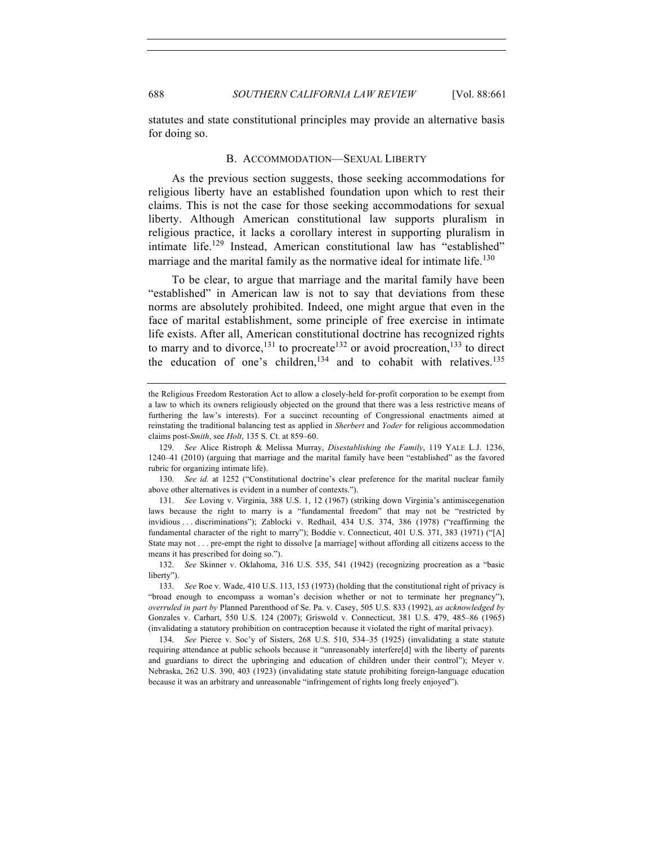statutes and state constitutional principles may provide an alternative basis for doing so.

## B. ACCOMMODATION—SEXUAL LIBERTY

As the previous section suggests, those seeking accommodations for religious liberty have an established foundation upon which to rest their claims. This is not the case for those seeking accommodations for sexual liberty. Although American constitutional law supports pluralism in religious practice, it lacks a corollary interest in supporting pluralism in intimate life.<sup>129</sup> Instead, American constitutional law has "established" marriage and the marital family as the normative ideal for intimate life.<sup>130</sup>

To be clear, to argue that marriage and the marital family have been "established" in American law is not to say that deviations from these norms are absolutely prohibited. Indeed, one might argue that even in the face of marital establishment, some principle of free exercise in intimate life exists. After all, American constitutional doctrine has recognized rights to marry and to divorce,<sup>131</sup> to procreate<sup>132</sup> or avoid procreation,<sup>133</sup> to direct the education of one's children,<sup>134</sup> and to cohabit with relatives.<sup>135</sup>

the Religious Freedom Restoration Act to allow a closely-held for-profit corporation to be exempt from a law to which its owners religiously objected on the ground that there was a less restrictive means of furthering the law's interests). For a succinct recounting of Congressional enactments aimed at reinstating the traditional balancing test as applied in *Sherbert* and *Yoder* for religious accommodation claims post-*Smith*, see *Holt*, 135 S. Ct. at 859–60.

<sup>129.</sup> *See* Alice Ristroph & Melissa Murray, *Disestablishing the Family*, 119 YALE L.J. 1236, 1240–41 (2010) (arguing that marriage and the marital family have been "established" as the favored rubric for organizing intimate life).

<sup>130.</sup> *See id.* at 1252 ("Constitutional doctrine's clear preference for the marital nuclear family above other alternatives is evident in a number of contexts.").

<sup>131.</sup> *See* Loving v. Virginia, 388 U.S. 1, 12 (1967) (striking down Virginia's antimiscegenation laws because the right to marry is a "fundamental freedom" that may not be "restricted by invidious . . . discriminations"); Zablocki v. Redhail, 434 U.S. 374, 386 (1978) ("reaffirming the fundamental character of the right to marry"); Boddie v. Connecticut, 401 U.S. 371, 383 (1971) ("[A] State may not . . . pre-empt the right to dissolve [a marriage] without affording all citizens access to the means it has prescribed for doing so.").

<sup>132.</sup> *See* Skinner v. Oklahoma, 316 U.S. 535, 541 (1942) (recognizing procreation as a "basic liberty").

<sup>133.</sup> *See* Roe v. Wade, 410 U.S. 113, 153 (1973) (holding that the constitutional right of privacy is "broad enough to encompass a woman's decision whether or not to terminate her pregnancy"), *overruled in part by* Planned Parenthood of Se. Pa. v. Casey, 505 U.S. 833 (1992), *as acknowledged by* Gonzales v. Carhart, 550 U.S. 124 (2007); Griswold v. Connecticut, 381 U.S. 479, 485–86 (1965) (invalidating a statutory prohibition on contraception because it violated the right of marital privacy).

<sup>134.</sup> *See* Pierce v. Soc'y of Sisters, 268 U.S. 510, 534–35 (1925) (invalidating a state statute requiring attendance at public schools because it "unreasonably interfere[d] with the liberty of parents and guardians to direct the upbringing and education of children under their control"); Meyer v. Nebraska, 262 U.S. 390, 403 (1923) (invalidating state statute prohibiting foreign-language education because it was an arbitrary and unreasonable "infringement of rights long freely enjoyed").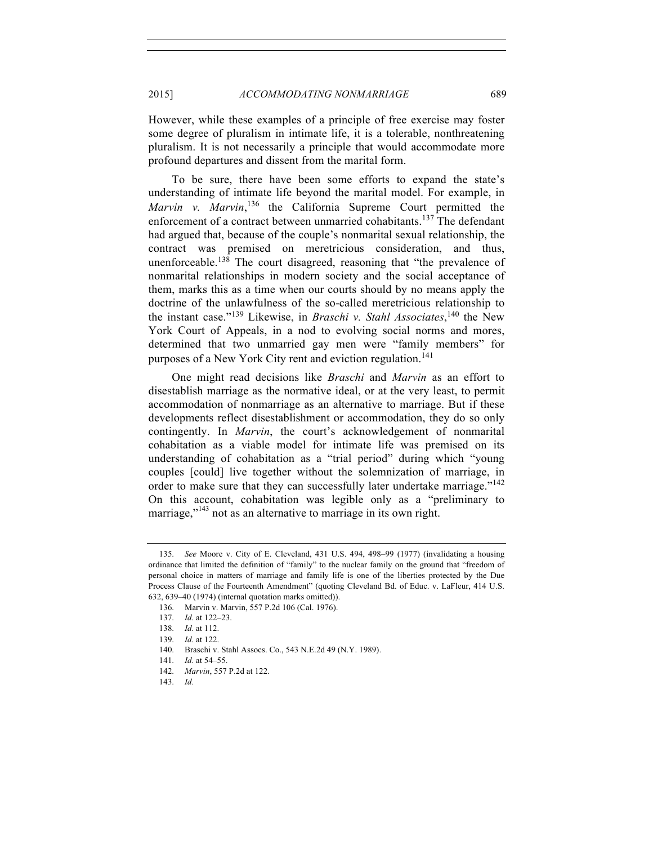However, while these examples of a principle of free exercise may foster some degree of pluralism in intimate life, it is a tolerable, nonthreatening pluralism. It is not necessarily a principle that would accommodate more profound departures and dissent from the marital form.

To be sure, there have been some efforts to expand the state's understanding of intimate life beyond the marital model. For example, in Marvin v. Marvin,<sup>136</sup> the California Supreme Court permitted the enforcement of a contract between unmarried cohabitants.<sup>137</sup> The defendant had argued that, because of the couple's nonmarital sexual relationship, the contract was premised on meretricious consideration, and thus, unenforceable.<sup>138</sup> The court disagreed, reasoning that "the prevalence of nonmarital relationships in modern society and the social acceptance of them, marks this as a time when our courts should by no means apply the doctrine of the unlawfulness of the so-called meretricious relationship to the instant case."<sup>139</sup> Likewise, in *Braschi v. Stahl Associates*, <sup>140</sup> the New York Court of Appeals, in a nod to evolving social norms and mores, determined that two unmarried gay men were "family members" for purposes of a New York City rent and eviction regulation.<sup>141</sup>

One might read decisions like *Braschi* and *Marvin* as an effort to disestablish marriage as the normative ideal, or at the very least, to permit accommodation of nonmarriage as an alternative to marriage. But if these developments reflect disestablishment or accommodation, they do so only contingently. In *Marvin*, the court's acknowledgement of nonmarital cohabitation as a viable model for intimate life was premised on its understanding of cohabitation as a "trial period" during which "young couples [could] live together without the solemnization of marriage, in order to make sure that they can successfully later undertake marriage."<sup>142</sup> On this account, cohabitation was legible only as a "preliminary to marriage,"<sup>143</sup> not as an alternative to marriage in its own right.

<sup>135.</sup> *See* Moore v. City of E. Cleveland, 431 U.S. 494, 498–99 (1977) (invalidating a housing ordinance that limited the definition of "family" to the nuclear family on the ground that "freedom of personal choice in matters of marriage and family life is one of the liberties protected by the Due Process Clause of the Fourteenth Amendment" (quoting Cleveland Bd. of Educ. v. LaFleur, 414 U.S. 632, 639–40 (1974) (internal quotation marks omitted)).

<sup>136.</sup> Marvin v. Marvin, 557 P.2d 106 (Cal. 1976).

<sup>137.</sup> *Id*. at 122–23.

<sup>138.</sup> *Id*. at 112.

<sup>139.</sup> *Id*. at 122.

<sup>140.</sup> Braschi v. Stahl Assocs. Co., 543 N.E.2d 49 (N.Y. 1989).

<sup>141.</sup> *Id*. at 54–55.

<sup>142.</sup> *Marvin*, 557 P.2d at 122.

<sup>143.</sup> *Id.*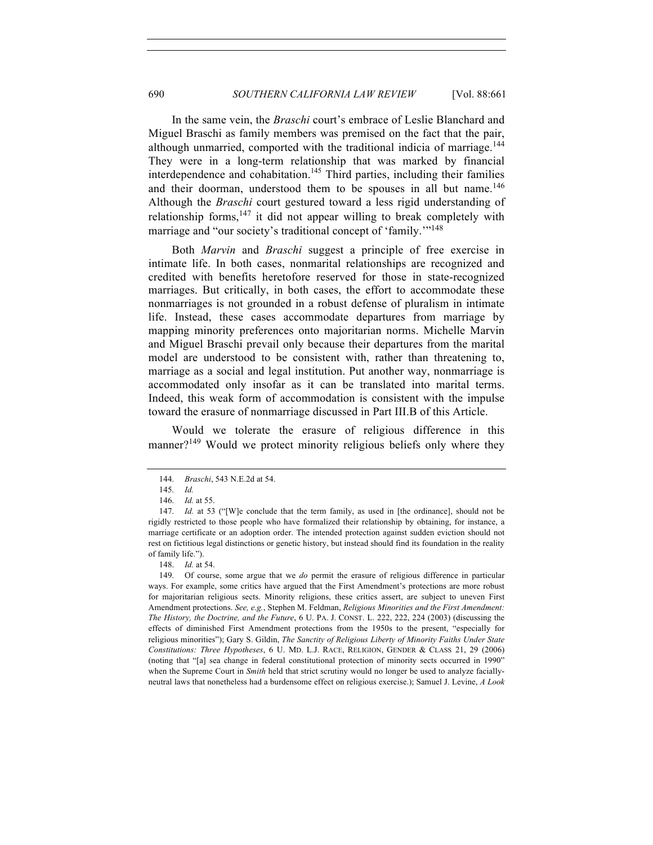In the same vein, the *Braschi* court's embrace of Leslie Blanchard and Miguel Braschi as family members was premised on the fact that the pair, although unmarried, comported with the traditional indicia of marriage.<sup>144</sup> They were in a long-term relationship that was marked by financial interdependence and cohabitation.<sup>145</sup> Third parties, including their families and their doorman, understood them to be spouses in all but name.<sup>146</sup> Although the *Braschi* court gestured toward a less rigid understanding of relationship forms, $147$  it did not appear willing to break completely with marriage and "our society's traditional concept of 'family."<sup>148</sup>

Both *Marvin* and *Braschi* suggest a principle of free exercise in intimate life. In both cases, nonmarital relationships are recognized and credited with benefits heretofore reserved for those in state-recognized marriages. But critically, in both cases, the effort to accommodate these nonmarriages is not grounded in a robust defense of pluralism in intimate life. Instead, these cases accommodate departures from marriage by mapping minority preferences onto majoritarian norms. Michelle Marvin and Miguel Braschi prevail only because their departures from the marital model are understood to be consistent with, rather than threatening to, marriage as a social and legal institution. Put another way, nonmarriage is accommodated only insofar as it can be translated into marital terms. Indeed, this weak form of accommodation is consistent with the impulse toward the erasure of nonmarriage discussed in Part III.B of this Article.

Would we tolerate the erasure of religious difference in this manner?<sup>149</sup> Would we protect minority religious beliefs only where they

<sup>144.</sup> *Braschi*, 543 N.E.2d at 54.

<sup>145.</sup> *Id.*

<sup>146.</sup> *Id.* at 55.

<sup>147.</sup> *Id.* at 53 ("[W]e conclude that the term family, as used in [the ordinance], should not be rigidly restricted to those people who have formalized their relationship by obtaining, for instance, a marriage certificate or an adoption order. The intended protection against sudden eviction should not rest on fictitious legal distinctions or genetic history, but instead should find its foundation in the reality of family life.").

<sup>148.</sup> *Id.* at 54.

<sup>149.</sup> Of course, some argue that we *do* permit the erasure of religious difference in particular ways. For example, some critics have argued that the First Amendment's protections are more robust for majoritarian religious sects. Minority religions, these critics assert, are subject to uneven First Amendment protections. *See, e.g.*, Stephen M. Feldman, *Religious Minorities and the First Amendment: The History, the Doctrine, and the Future*, 6 U. PA. J. CONST. L. 222, 222, 224 (2003) (discussing the effects of diminished First Amendment protections from the 1950s to the present, "especially for religious minorities"); Gary S. Gildin, *The Sanctity of Religious Liberty of Minority Faiths Under State Constitutions: Three Hypotheses*, 6 U. MD. L.J. RACE, RELIGION, GENDER & CLASS 21, 29 (2006) (noting that "[a] sea change in federal constitutional protection of minority sects occurred in 1990" when the Supreme Court in *Smith* held that strict scrutiny would no longer be used to analyze faciallyneutral laws that nonetheless had a burdensome effect on religious exercise.); Samuel J. Levine, *A Look*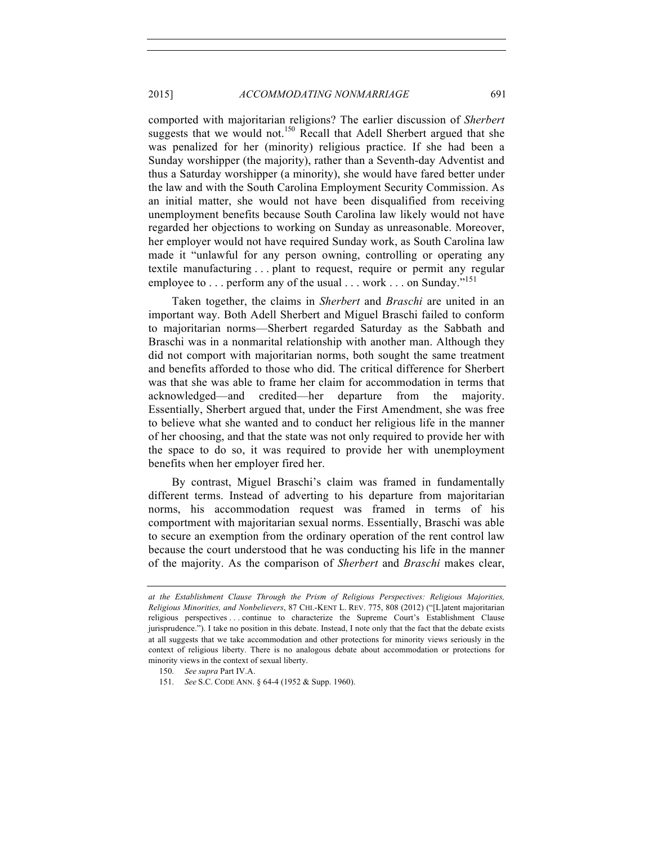# 2015] *ACCOMMODATING NONMARRIAGE* 691

comported with majoritarian religions? The earlier discussion of *Sherbert* suggests that we would not.<sup>150</sup> Recall that Adell Sherbert argued that she was penalized for her (minority) religious practice. If she had been a Sunday worshipper (the majority), rather than a Seventh-day Adventist and thus a Saturday worshipper (a minority), she would have fared better under the law and with the South Carolina Employment Security Commission. As an initial matter, she would not have been disqualified from receiving unemployment benefits because South Carolina law likely would not have regarded her objections to working on Sunday as unreasonable. Moreover, her employer would not have required Sunday work, as South Carolina law made it "unlawful for any person owning, controlling or operating any textile manufacturing . . . plant to request, require or permit any regular employee to  $\dots$  perform any of the usual  $\dots$  work  $\dots$  on Sunday."<sup>151</sup>

Taken together, the claims in *Sherbert* and *Braschi* are united in an important way. Both Adell Sherbert and Miguel Braschi failed to conform to majoritarian norms—Sherbert regarded Saturday as the Sabbath and Braschi was in a nonmarital relationship with another man. Although they did not comport with majoritarian norms, both sought the same treatment and benefits afforded to those who did. The critical difference for Sherbert was that she was able to frame her claim for accommodation in terms that acknowledged—and credited—her departure from the majority. Essentially, Sherbert argued that, under the First Amendment, she was free to believe what she wanted and to conduct her religious life in the manner of her choosing, and that the state was not only required to provide her with the space to do so, it was required to provide her with unemployment benefits when her employer fired her.

By contrast, Miguel Braschi's claim was framed in fundamentally different terms. Instead of adverting to his departure from majoritarian norms, his accommodation request was framed in terms of his comportment with majoritarian sexual norms. Essentially, Braschi was able to secure an exemption from the ordinary operation of the rent control law because the court understood that he was conducting his life in the manner of the majority. As the comparison of *Sherbert* and *Braschi* makes clear,

*at the Establishment Clause Through the Prism of Religious Perspectives: Religious Majorities, Religious Minorities, and Nonbelievers*, 87 CHI.-KENT L. REV. 775, 808 (2012) ("[L]atent majoritarian religious perspectives . . . continue to characterize the Supreme Court's Establishment Clause jurisprudence."). I take no position in this debate. Instead, I note only that the fact that the debate exists at all suggests that we take accommodation and other protections for minority views seriously in the context of religious liberty. There is no analogous debate about accommodation or protections for minority views in the context of sexual liberty.

<sup>150.</sup> *See supra* Part IV.A.

<sup>151.</sup> *See* S.C. CODE ANN. § 64-4 (1952 & Supp. 1960).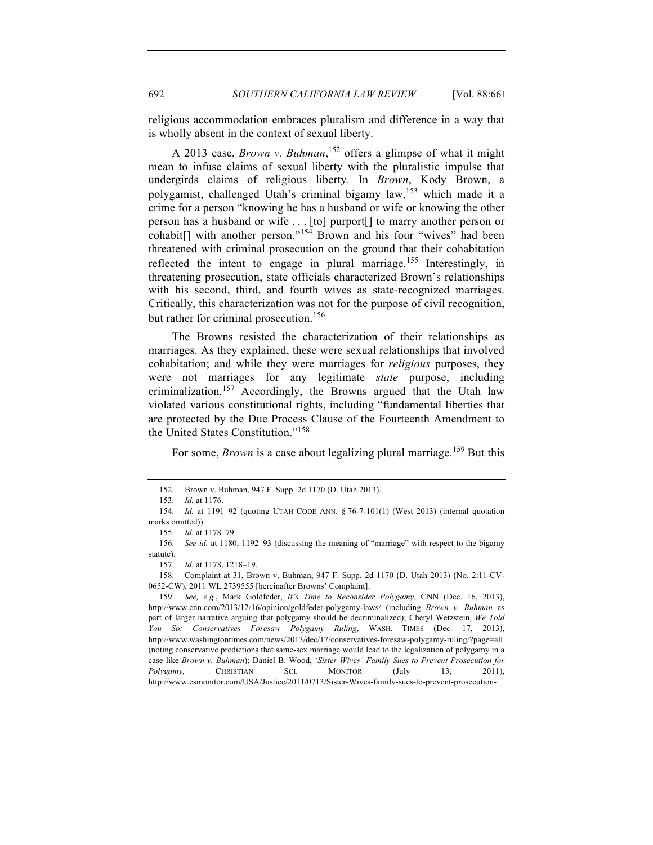religious accommodation embraces pluralism and difference in a way that is wholly absent in the context of sexual liberty.

A 2013 case, *Brown v. Buhman*, <sup>152</sup> offers a glimpse of what it might mean to infuse claims of sexual liberty with the pluralistic impulse that undergirds claims of religious liberty. In *Brown*, Kody Brown, a polygamist, challenged Utah's criminal bigamy law,153 which made it a crime for a person "knowing he has a husband or wife or knowing the other person has a husband or wife . . . [to] purport[] to marry another person or cohabit $[$ ] with another person."<sup>154</sup> Brown and his four "wives" had been threatened with criminal prosecution on the ground that their cohabitation reflected the intent to engage in plural marriage.<sup>155</sup> Interestingly, in threatening prosecution, state officials characterized Brown's relationships with his second, third, and fourth wives as state-recognized marriages. Critically, this characterization was not for the purpose of civil recognition, but rather for criminal prosecution.<sup>156</sup>

The Browns resisted the characterization of their relationships as marriages. As they explained, these were sexual relationships that involved cohabitation; and while they were marriages for *religious* purposes, they were not marriages for any legitimate *state* purpose, including criminalization.<sup>157</sup> Accordingly, the Browns argued that the Utah law violated various constitutional rights, including "fundamental liberties that are protected by the Due Process Clause of the Fourteenth Amendment to the United States Constitution."<sup>158</sup>

For some, *Brown* is a case about legalizing plural marriage.<sup>159</sup> But this

158. Complaint at 31, Brown v. Buhman, 947 F. Supp. 2d 1170 (D. Utah 2013) (No. 2:11-CV-0652-CW), 2011 WL 2739555 [hereinafter Browns' Complaint].

<sup>152.</sup> Brown v. Buhman, 947 F. Supp. 2d 1170 (D. Utah 2013).

<sup>153.</sup> *Id.* at 1176.

<sup>154.</sup> *Id.* at 1191–92 (quoting UTAH CODE ANN. § 76-7-101(1) (West 2013) (internal quotation marks omitted)).

<sup>155.</sup> *Id.* at 1178–79.

<sup>156.</sup> *See id.* at 1180, 1192–93 (discussing the meaning of "marriage" with respect to the bigamy statute).

<sup>157.</sup> *Id.* at 1178, 1218–19.

<sup>159.</sup> *See, e.g.*, Mark Goldfeder, *It's Time to Reconsider Polygamy*, CNN (Dec. 16, 2013), http://www.cnn.com/2013/12/16/opinion/goldfeder-polygamy-laws/ (including *Brown v. Buhman* as part of larger narrative arguing that polygamy should be decriminalized); Cheryl Wetzstein, *We Told You So: Conservatives Foresaw Polygamy Ruling*, WASH. TIMES (Dec. 17, 2013), http://www.washingtontimes.com/news/2013/dec/17/conservatives-foresaw-polygamy-ruling/?page=all (noting conservative predictions that same-sex marriage would lead to the legalization of polygamy in a case like *Brown v. Buhman*); Daniel B. Wood, *'Sister Wives' Family Sues to Prevent Prosecution for Polygamy*, CHRISTIAN SCI. MONITOR (July 13, 2011), http://www.csmonitor.com/USA/Justice/2011/0713/Sister-Wives-family-sues-to-prevent-prosecution-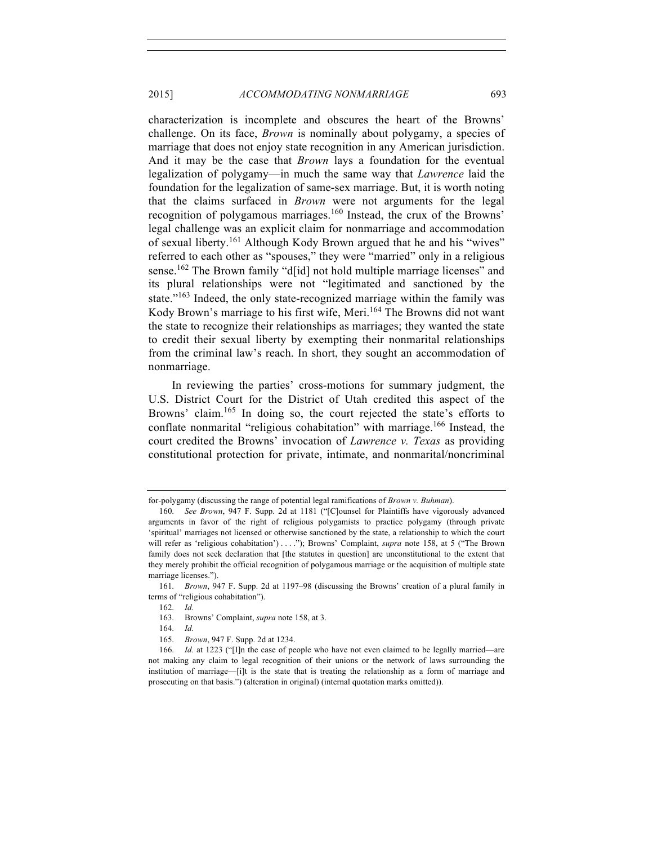characterization is incomplete and obscures the heart of the Browns' challenge. On its face, *Brown* is nominally about polygamy, a species of marriage that does not enjoy state recognition in any American jurisdiction. And it may be the case that *Brown* lays a foundation for the eventual legalization of polygamy—in much the same way that *Lawrence* laid the foundation for the legalization of same-sex marriage. But, it is worth noting that the claims surfaced in *Brown* were not arguments for the legal recognition of polygamous marriages.<sup>160</sup> Instead, the crux of the Browns' legal challenge was an explicit claim for nonmarriage and accommodation of sexual liberty.<sup>161</sup> Although Kody Brown argued that he and his "wives" referred to each other as "spouses," they were "married" only in a religious sense.<sup>162</sup> The Brown family "d[id] not hold multiple marriage licenses" and its plural relationships were not "legitimated and sanctioned by the state."<sup>163</sup> Indeed, the only state-recognized marriage within the family was Kody Brown's marriage to his first wife, Meri.<sup>164</sup> The Browns did not want the state to recognize their relationships as marriages; they wanted the state to credit their sexual liberty by exempting their nonmarital relationships from the criminal law's reach. In short, they sought an accommodation of nonmarriage.

In reviewing the parties' cross-motions for summary judgment, the U.S. District Court for the District of Utah credited this aspect of the Browns' claim.<sup>165</sup> In doing so, the court rejected the state's efforts to conflate nonmarital "religious cohabitation" with marriage.<sup>166</sup> Instead, the court credited the Browns' invocation of *Lawrence v. Texas* as providing constitutional protection for private, intimate, and nonmarital/noncriminal

for-polygamy (discussing the range of potential legal ramifications of *Brown v. Buhman*).

<sup>160.</sup> *See Brown*, 947 F. Supp. 2d at 1181 ("[C]ounsel for Plaintiffs have vigorously advanced arguments in favor of the right of religious polygamists to practice polygamy (through private 'spiritual' marriages not licensed or otherwise sanctioned by the state, a relationship to which the court will refer as 'religious cohabitation') . . . ."); Browns' Complaint, *supra* note 158, at 5 ("The Brown family does not seek declaration that [the statutes in question] are unconstitutional to the extent that they merely prohibit the official recognition of polygamous marriage or the acquisition of multiple state marriage licenses.").

<sup>161.</sup> *Brown*, 947 F. Supp. 2d at 1197–98 (discussing the Browns' creation of a plural family in terms of "religious cohabitation").

<sup>162.</sup> *Id.*

<sup>163.</sup> Browns' Complaint, *supra* note 158, at 3.

<sup>164.</sup> *Id.*

<sup>165.</sup> *Brown*, 947 F. Supp. 2d at 1234.

<sup>166.</sup> *Id.* at 1223 ("[I]n the case of people who have not even claimed to be legally married—are not making any claim to legal recognition of their unions or the network of laws surrounding the institution of marriage—[i]t is the state that is treating the relationship as a form of marriage and prosecuting on that basis.") (alteration in original) (internal quotation marks omitted)).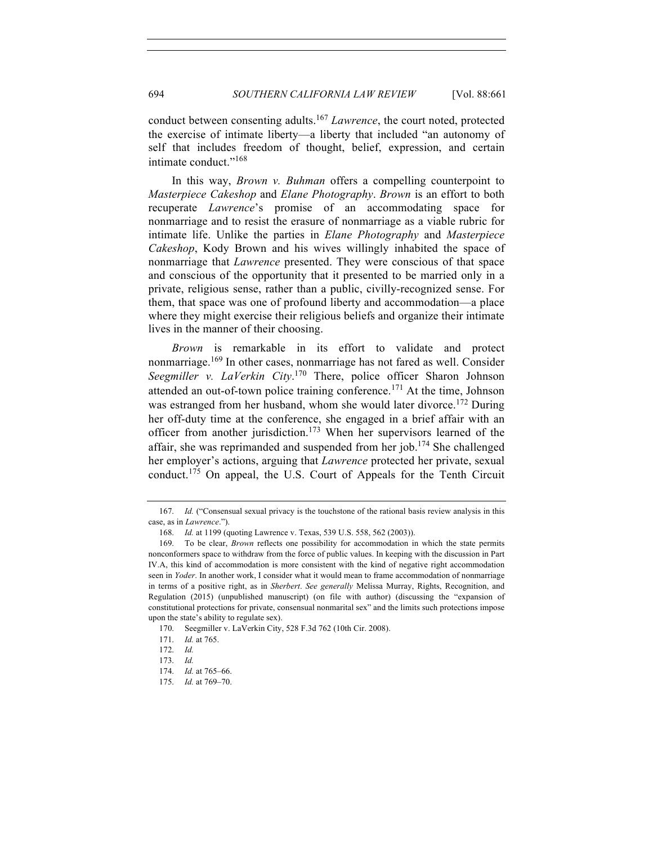conduct between consenting adults.167 *Lawrence*, the court noted, protected the exercise of intimate liberty—a liberty that included "an autonomy of self that includes freedom of thought, belief, expression, and certain intimate conduct."<sup>168</sup>

In this way, *Brown v. Buhman* offers a compelling counterpoint to *Masterpiece Cakeshop* and *Elane Photography*. *Brown* is an effort to both recuperate *Lawrence*'s promise of an accommodating space for nonmarriage and to resist the erasure of nonmarriage as a viable rubric for intimate life. Unlike the parties in *Elane Photography* and *Masterpiece Cakeshop*, Kody Brown and his wives willingly inhabited the space of nonmarriage that *Lawrence* presented. They were conscious of that space and conscious of the opportunity that it presented to be married only in a private, religious sense, rather than a public, civilly-recognized sense. For them, that space was one of profound liberty and accommodation—a place where they might exercise their religious beliefs and organize their intimate lives in the manner of their choosing.

*Brown* is remarkable in its effort to validate and protect nonmarriage.<sup>169</sup> In other cases, nonmarriage has not fared as well. Consider *Seegmiller v. LaVerkin City*. <sup>170</sup> There, police officer Sharon Johnson attended an out-of-town police training conference.<sup>171</sup> At the time, Johnson was estranged from her husband, whom she would later divorce.<sup>172</sup> During her off-duty time at the conference, she engaged in a brief affair with an officer from another jurisdiction.<sup>173</sup> When her supervisors learned of the affair, she was reprimanded and suspended from her job.<sup>174</sup> She challenged her employer's actions, arguing that *Lawrence* protected her private, sexual conduct.<sup>175</sup> On appeal, the U.S. Court of Appeals for the Tenth Circuit

<sup>167.</sup> *Id.* ("Consensual sexual privacy is the touchstone of the rational basis review analysis in this case, as in *Lawrence*.").

<sup>168.</sup> *Id.* at 1199 (quoting Lawrence v. Texas, 539 U.S. 558, 562 (2003)).

<sup>169.</sup> To be clear, *Brown* reflects one possibility for accommodation in which the state permits nonconformers space to withdraw from the force of public values. In keeping with the discussion in Part IV.A, this kind of accommodation is more consistent with the kind of negative right accommodation seen in *Yoder*. In another work, I consider what it would mean to frame accommodation of nonmarriage in terms of a positive right, as in *Sherbert*. *See generally* Melissa Murray, Rights, Recognition, and Regulation (2015) (unpublished manuscript) (on file with author) (discussing the "expansion of constitutional protections for private, consensual nonmarital sex" and the limits such protections impose upon the state's ability to regulate sex).

<sup>170.</sup> Seegmiller v. LaVerkin City, 528 F.3d 762 (10th Cir. 2008).

<sup>171.</sup> *Id.* at 765.

<sup>172.</sup> *Id.*

<sup>173.</sup> *Id.*

<sup>174.</sup> *Id.* at 765–66.

<sup>175.</sup> *Id.* at 769–70.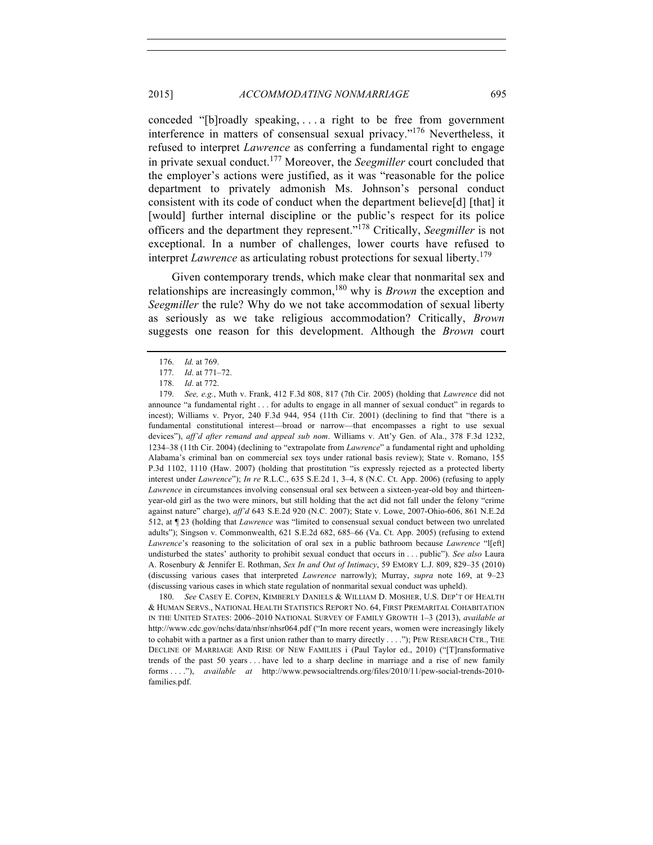conceded "[b]roadly speaking, . . . a right to be free from government interference in matters of consensual sexual privacy."176 Nevertheless, it refused to interpret *Lawrence* as conferring a fundamental right to engage in private sexual conduct.<sup>177</sup> Moreover, the *Seegmiller* court concluded that the employer's actions were justified, as it was "reasonable for the police department to privately admonish Ms. Johnson's personal conduct consistent with its code of conduct when the department believe[d] [that] it [would] further internal discipline or the public's respect for its police officers and the department they represent."178 Critically, *Seegmiller* is not exceptional. In a number of challenges, lower courts have refused to interpret *Lawrence* as articulating robust protections for sexual liberty.<sup>179</sup>

Given contemporary trends, which make clear that nonmarital sex and relationships are increasingly common,180 why is *Brown* the exception and *Seegmiller* the rule? Why do we not take accommodation of sexual liberty as seriously as we take religious accommodation? Critically, *Brown*  suggests one reason for this development. Although the *Brown* court

180. *See* CASEY E. COPEN, KIMBERLY DANIELS & WILLIAM D. MOSHER, U.S. DEP'T OF HEALTH & HUMAN SERVS., NATIONAL HEALTH STATISTICS REPORT NO. 64, FIRST PREMARITAL COHABITATION IN THE UNITED STATES: 2006–2010 NATIONAL SURVEY OF FAMILY GROWTH 1–3 (2013), *available at* http://www.cdc.gov/nchs/data/nhsr/nhsr064.pdf ("In more recent years, women were increasingly likely to cohabit with a partner as a first union rather than to marry directly . . . ."); PEW RESEARCH CTR., THE DECLINE OF MARRIAGE AND RISE OF NEW FAMILIES i (Paul Taylor ed., 2010) ("[T]ransformative trends of the past 50 years . . . have led to a sharp decline in marriage and a rise of new family forms . . . ."), *available at* http://www.pewsocialtrends.org/files/2010/11/pew-social-trends-2010 families.pdf.

<sup>176.</sup> *Id.* at 769.

<sup>177.</sup> *Id*. at 771–72.

<sup>178.</sup> *Id*. at 772.

<sup>179.</sup> *See, e.g.*, Muth v. Frank, 412 F.3d 808, 817 (7th Cir. 2005) (holding that *Lawrence* did not announce "a fundamental right . . . for adults to engage in all manner of sexual conduct" in regards to incest); Williams v. Pryor, 240 F.3d 944, 954 (11th Cir. 2001) (declining to find that "there is a fundamental constitutional interest—broad or narrow—that encompasses a right to use sexual devices"), *aff'd after remand and appeal sub nom*. Williams v. Att'y Gen. of Ala., 378 F.3d 1232, 1234–38 (11th Cir. 2004) (declining to "extrapolate from *Lawrence*" a fundamental right and upholding Alabama's criminal ban on commercial sex toys under rational basis review); State v. Romano, 155 P.3d 1102, 1110 (Haw. 2007) (holding that prostitution "is expressly rejected as a protected liberty interest under *Lawrence*"); *In re* R.L.C., 635 S.E.2d 1, 3–4, 8 (N.C. Ct. App. 2006) (refusing to apply *Lawrence* in circumstances involving consensual oral sex between a sixteen-year-old boy and thirteenyear-old girl as the two were minors, but still holding that the act did not fall under the felony "crime against nature" charge), *aff'd* 643 S.E.2d 920 (N.C. 2007); State v. Lowe, 2007-Ohio-606, 861 N.E.2d 512, at ¶ 23 (holding that *Lawrence* was "limited to consensual sexual conduct between two unrelated adults"); Singson v. Commonwealth, 621 S.E.2d 682, 685–66 (Va. Ct. App. 2005) (refusing to extend *Lawrence*'s reasoning to the solicitation of oral sex in a public bathroom because *Lawrence* "l[eft] undisturbed the states' authority to prohibit sexual conduct that occurs in . . . public"). *See also* Laura A. Rosenbury & Jennifer E. Rothman, *Sex In and Out of Intimacy*, 59 EMORY L.J. 809, 829–35 (2010) (discussing various cases that interpreted *Lawrence* narrowly); Murray, *supra* note 169, at 9–23 (discussing various cases in which state regulation of nonmarital sexual conduct was upheld).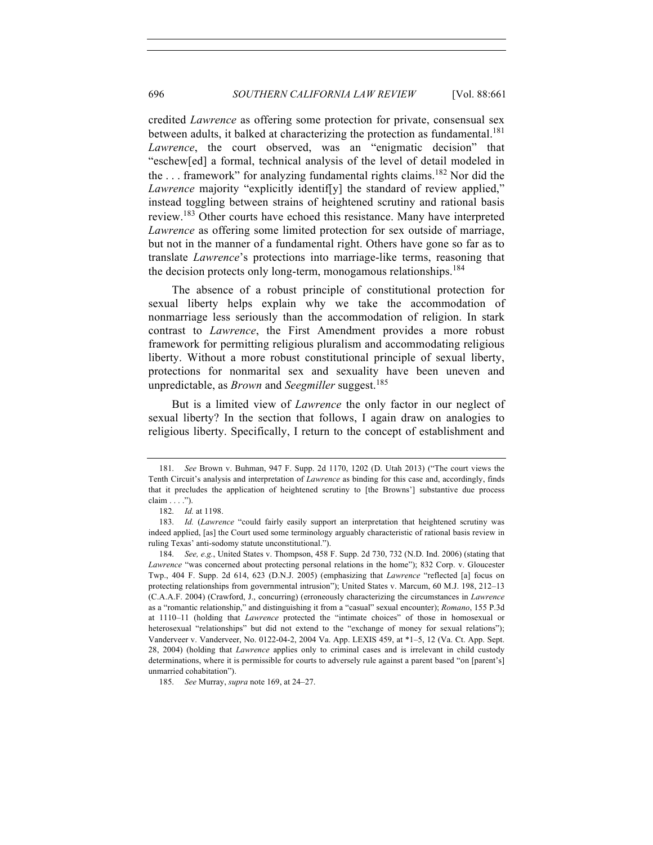credited *Lawrence* as offering some protection for private, consensual sex between adults, it balked at characterizing the protection as fundamental.<sup>181</sup> *Lawrence*, the court observed, was an "enigmatic decision" that "eschew[ed] a formal, technical analysis of the level of detail modeled in the ... framework" for analyzing fundamental rights claims.<sup>182</sup> Nor did the *Lawrence* majority "explicitly identiffy] the standard of review applied," instead toggling between strains of heightened scrutiny and rational basis review.<sup>183</sup> Other courts have echoed this resistance. Many have interpreted *Lawrence* as offering some limited protection for sex outside of marriage, but not in the manner of a fundamental right. Others have gone so far as to translate *Lawrence*'s protections into marriage-like terms, reasoning that the decision protects only long-term, monogamous relationships.<sup>184</sup>

The absence of a robust principle of constitutional protection for sexual liberty helps explain why we take the accommodation of nonmarriage less seriously than the accommodation of religion. In stark contrast to *Lawrence*, the First Amendment provides a more robust framework for permitting religious pluralism and accommodating religious liberty. Without a more robust constitutional principle of sexual liberty, protections for nonmarital sex and sexuality have been uneven and unpredictable, as *Brown* and *Seegmiller* suggest.<sup>185</sup>

But is a limited view of *Lawrence* the only factor in our neglect of sexual liberty? In the section that follows, I again draw on analogies to religious liberty. Specifically, I return to the concept of establishment and

<sup>181.</sup> *See* Brown v. Buhman, 947 F. Supp. 2d 1170, 1202 (D. Utah 2013) ("The court views the Tenth Circuit's analysis and interpretation of *Lawrence* as binding for this case and, accordingly, finds that it precludes the application of heightened scrutiny to [the Browns'] substantive due process claim . . . .").

<sup>182.</sup> *Id.* at 1198.

<sup>183.</sup> *Id.* (*Lawrence* "could fairly easily support an interpretation that heightened scrutiny was indeed applied, [as] the Court used some terminology arguably characteristic of rational basis review in ruling Texas' anti-sodomy statute unconstitutional.").

<sup>184.</sup> *See, e.g.*, United States v. Thompson, 458 F. Supp. 2d 730, 732 (N.D. Ind. 2006) (stating that *Lawrence* "was concerned about protecting personal relations in the home"); 832 Corp. v. Gloucester Twp., 404 F. Supp. 2d 614, 623 (D.N.J. 2005) (emphasizing that *Lawrence* "reflected [a] focus on protecting relationships from governmental intrusion"); United States v. Marcum, 60 M.J. 198, 212–13 (C.A.A.F. 2004) (Crawford, J., concurring) (erroneously characterizing the circumstances in *Lawrence*  as a "romantic relationship," and distinguishing it from a "casual" sexual encounter); *Romano*, 155 P.3d at 1110–11 (holding that *Lawrence* protected the "intimate choices" of those in homosexual or heterosexual "relationships" but did not extend to the "exchange of money for sexual relations"); Vanderveer v. Vanderveer, No. 0122-04-2, 2004 Va. App. LEXIS 459, at \*1–5, 12 (Va. Ct. App. Sept. 28, 2004) (holding that *Lawrence* applies only to criminal cases and is irrelevant in child custody determinations, where it is permissible for courts to adversely rule against a parent based "on [parent's] unmarried cohabitation").

<sup>185.</sup> *See* Murray, *supra* note 169, at 24–27.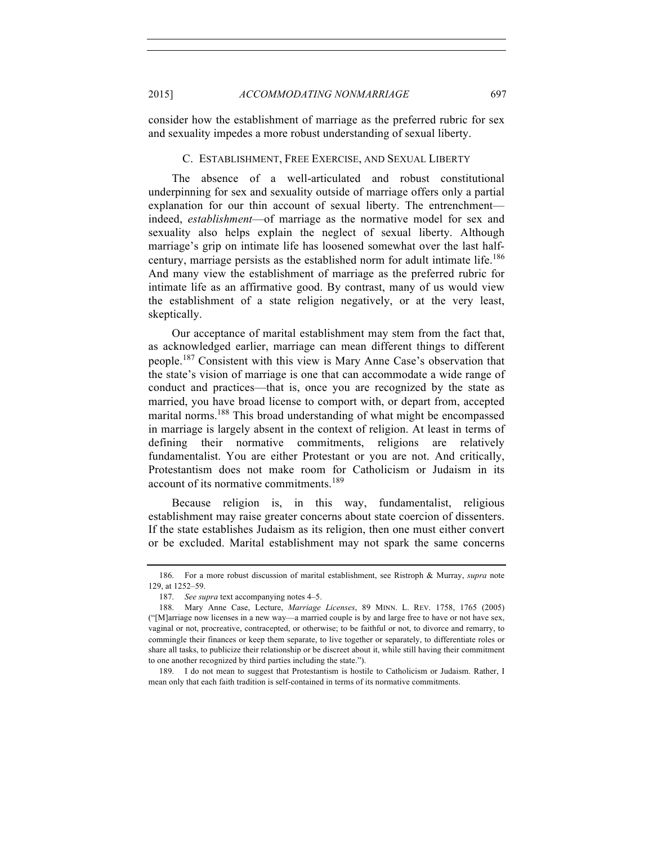consider how the establishment of marriage as the preferred rubric for sex and sexuality impedes a more robust understanding of sexual liberty.

## C. ESTABLISHMENT, FREE EXERCISE, AND SEXUAL LIBERTY

The absence of a well-articulated and robust constitutional underpinning for sex and sexuality outside of marriage offers only a partial explanation for our thin account of sexual liberty. The entrenchment indeed, *establishment*—of marriage as the normative model for sex and sexuality also helps explain the neglect of sexual liberty. Although marriage's grip on intimate life has loosened somewhat over the last halfcentury, marriage persists as the established norm for adult intimate life.<sup>186</sup> And many view the establishment of marriage as the preferred rubric for intimate life as an affirmative good. By contrast, many of us would view the establishment of a state religion negatively, or at the very least, skeptically.

Our acceptance of marital establishment may stem from the fact that, as acknowledged earlier, marriage can mean different things to different people.<sup>187</sup> Consistent with this view is Mary Anne Case's observation that the state's vision of marriage is one that can accommodate a wide range of conduct and practices—that is, once you are recognized by the state as married, you have broad license to comport with, or depart from, accepted marital norms.<sup>188</sup> This broad understanding of what might be encompassed in marriage is largely absent in the context of religion. At least in terms of defining their normative commitments, religions are relatively fundamentalist. You are either Protestant or you are not. And critically, Protestantism does not make room for Catholicism or Judaism in its account of its normative commitments.<sup>189</sup>

Because religion is, in this way, fundamentalist, religious establishment may raise greater concerns about state coercion of dissenters. If the state establishes Judaism as its religion, then one must either convert or be excluded. Marital establishment may not spark the same concerns

<sup>186.</sup> For a more robust discussion of marital establishment, see Ristroph & Murray, *supra* note 129, at 1252–59.

<sup>187.</sup> *See supra* text accompanying notes 4–5.

<sup>188.</sup> Mary Anne Case, Lecture, *Marriage Licenses*, 89 MINN. L. REV. 1758, 1765 (2005) ("[M]arriage now licenses in a new way—a married couple is by and large free to have or not have sex, vaginal or not, procreative, contracepted, or otherwise; to be faithful or not, to divorce and remarry, to commingle their finances or keep them separate, to live together or separately, to differentiate roles or share all tasks, to publicize their relationship or be discreet about it, while still having their commitment to one another recognized by third parties including the state.").

<sup>189.</sup> I do not mean to suggest that Protestantism is hostile to Catholicism or Judaism. Rather, I mean only that each faith tradition is self-contained in terms of its normative commitments.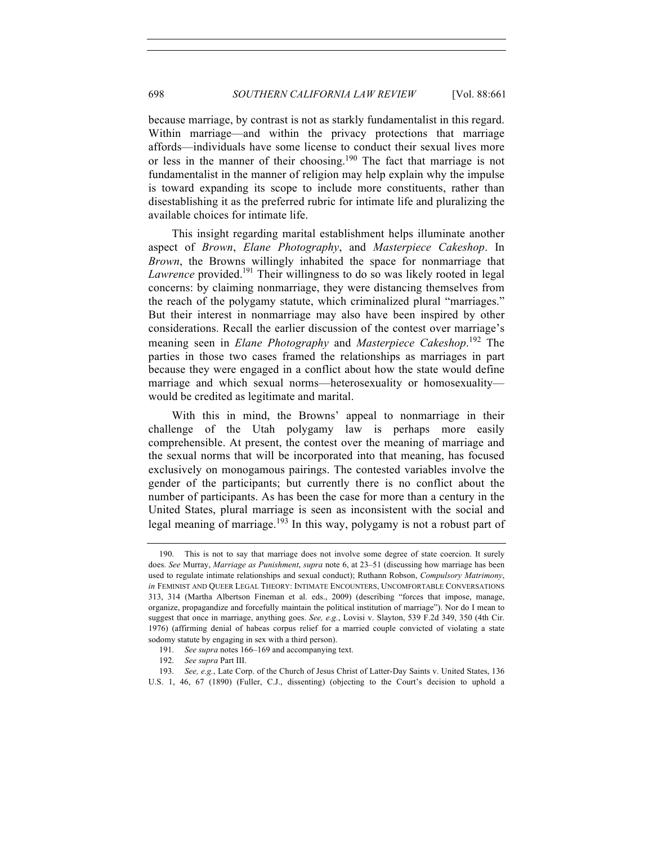because marriage, by contrast is not as starkly fundamentalist in this regard. Within marriage—and within the privacy protections that marriage affords—individuals have some license to conduct their sexual lives more or less in the manner of their choosing.<sup>190</sup> The fact that marriage is not fundamentalist in the manner of religion may help explain why the impulse is toward expanding its scope to include more constituents, rather than disestablishing it as the preferred rubric for intimate life and pluralizing the available choices for intimate life.

This insight regarding marital establishment helps illuminate another aspect of *Brown*, *Elane Photography*, and *Masterpiece Cakeshop*. In *Brown*, the Browns willingly inhabited the space for nonmarriage that *Lawrence* provided.<sup>191</sup> Their willingness to do so was likely rooted in legal concerns: by claiming nonmarriage, they were distancing themselves from the reach of the polygamy statute, which criminalized plural "marriages." But their interest in nonmarriage may also have been inspired by other considerations. Recall the earlier discussion of the contest over marriage's meaning seen in *Elane Photography* and *Masterpiece Cakeshop*. <sup>192</sup> The parties in those two cases framed the relationships as marriages in part because they were engaged in a conflict about how the state would define marriage and which sexual norms—heterosexuality or homosexuality would be credited as legitimate and marital.

With this in mind, the Browns' appeal to nonmarriage in their challenge of the Utah polygamy law is perhaps more easily comprehensible. At present, the contest over the meaning of marriage and the sexual norms that will be incorporated into that meaning, has focused exclusively on monogamous pairings. The contested variables involve the gender of the participants; but currently there is no conflict about the number of participants. As has been the case for more than a century in the United States, plural marriage is seen as inconsistent with the social and legal meaning of marriage.<sup>193</sup> In this way, polygamy is not a robust part of

<sup>190.</sup> This is not to say that marriage does not involve some degree of state coercion. It surely does. *See* Murray, *Marriage as Punishment*, *supra* note 6, at 23–51 (discussing how marriage has been used to regulate intimate relationships and sexual conduct); Ruthann Robson, *Compulsory Matrimony*, *in* FEMINIST AND QUEER LEGAL THEORY: INTIMATE ENCOUNTERS, UNCOMFORTABLE CONVERSATIONS 313, 314 (Martha Albertson Fineman et al. eds., 2009) (describing "forces that impose, manage, organize, propagandize and forcefully maintain the political institution of marriage"). Nor do I mean to suggest that once in marriage, anything goes. *See, e.g.*, Lovisi v. Slayton, 539 F.2d 349, 350 (4th Cir. 1976) (affirming denial of habeas corpus relief for a married couple convicted of violating a state sodomy statute by engaging in sex with a third person).

<sup>191.</sup> *See supra* notes 166–169 and accompanying text.

<sup>192.</sup> *See supra* Part III.

<sup>193.</sup> *See, e.g.*, Late Corp. of the Church of Jesus Christ of Latter-Day Saints v. United States, 136 U.S. 1, 46, 67 (1890) (Fuller, C.J., dissenting) (objecting to the Court's decision to uphold a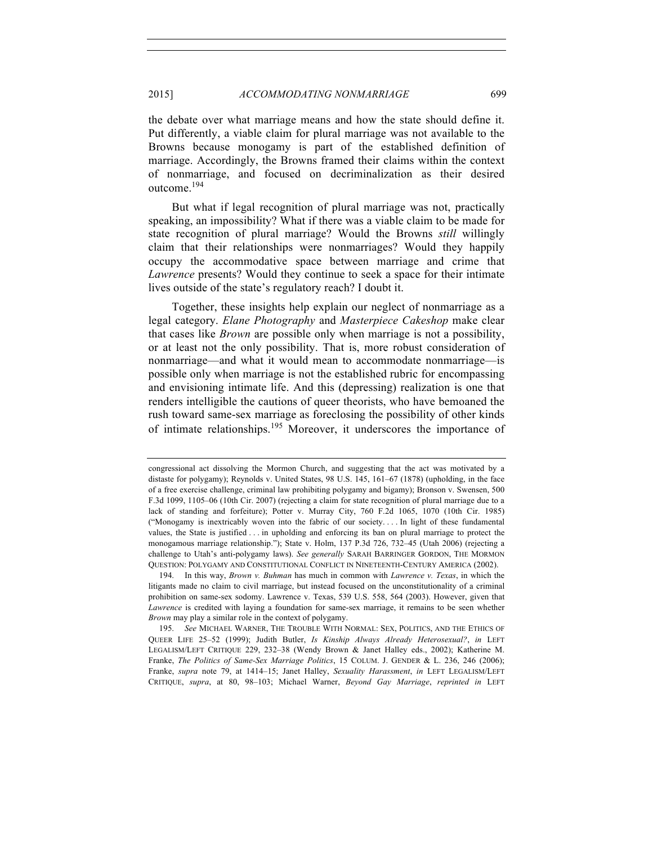the debate over what marriage means and how the state should define it. Put differently, a viable claim for plural marriage was not available to the Browns because monogamy is part of the established definition of marriage. Accordingly, the Browns framed their claims within the context of nonmarriage, and focused on decriminalization as their desired outcome.194

But what if legal recognition of plural marriage was not, practically speaking, an impossibility? What if there was a viable claim to be made for state recognition of plural marriage? Would the Browns *still* willingly claim that their relationships were nonmarriages? Would they happily occupy the accommodative space between marriage and crime that *Lawrence* presents? Would they continue to seek a space for their intimate lives outside of the state's regulatory reach? I doubt it.

Together, these insights help explain our neglect of nonmarriage as a legal category. *Elane Photography* and *Masterpiece Cakeshop* make clear that cases like *Brown* are possible only when marriage is not a possibility, or at least not the only possibility. That is, more robust consideration of nonmarriage—and what it would mean to accommodate nonmarriage—is possible only when marriage is not the established rubric for encompassing and envisioning intimate life. And this (depressing) realization is one that renders intelligible the cautions of queer theorists, who have bemoaned the rush toward same-sex marriage as foreclosing the possibility of other kinds of intimate relationships.<sup>195</sup> Moreover, it underscores the importance of

194. In this way, *Brown v. Buhman* has much in common with *Lawrence v. Texas*, in which the litigants made no claim to civil marriage, but instead focused on the unconstitutionality of a criminal prohibition on same-sex sodomy. Lawrence v. Texas, 539 U.S. 558, 564 (2003). However, given that *Lawrence* is credited with laying a foundation for same-sex marriage, it remains to be seen whether *Brown* may play a similar role in the context of polygamy.

congressional act dissolving the Mormon Church, and suggesting that the act was motivated by a distaste for polygamy); Reynolds v. United States, 98 U.S. 145, 161–67 (1878) (upholding, in the face of a free exercise challenge, criminal law prohibiting polygamy and bigamy); Bronson v. Swensen, 500 F.3d 1099, 1105–06 (10th Cir. 2007) (rejecting a claim for state recognition of plural marriage due to a lack of standing and forfeiture); Potter v. Murray City, 760 F.2d 1065, 1070 (10th Cir. 1985) ("Monogamy is inextricably woven into the fabric of our society. . . . In light of these fundamental values, the State is justified . . . in upholding and enforcing its ban on plural marriage to protect the monogamous marriage relationship."); State v. Holm, 137 P.3d 726, 732–45 (Utah 2006) (rejecting a challenge to Utah's anti-polygamy laws). *See generally* SARAH BARRINGER GORDON, THE MORMON QUESTION: POLYGAMY AND CONSTITUTIONAL CONFLICT IN NINETEENTH-CENTURY AMERICA (2002).

<sup>195.</sup> *See* MICHAEL WARNER, THE TROUBLE WITH NORMAL: SEX, POLITICS, AND THE ETHICS OF QUEER LIFE 25–52 (1999); Judith Butler, *Is Kinship Always Already Heterosexual?*, *in* LEFT LEGALISM/LEFT CRITIQUE 229, 232–38 (Wendy Brown & Janet Halley eds., 2002); Katherine M. Franke, *The Politics of Same-Sex Marriage Politics*, 15 COLUM. J. GENDER & L. 236, 246 (2006); Franke, *supra* note 79, at 1414–15; Janet Halley, *Sexuality Harassment*, *in* LEFT LEGALISM/LEFT CRITIQUE, *supra*, at 80, 98–103; Michael Warner, *Beyond Gay Marriage*, *reprinted in* LEFT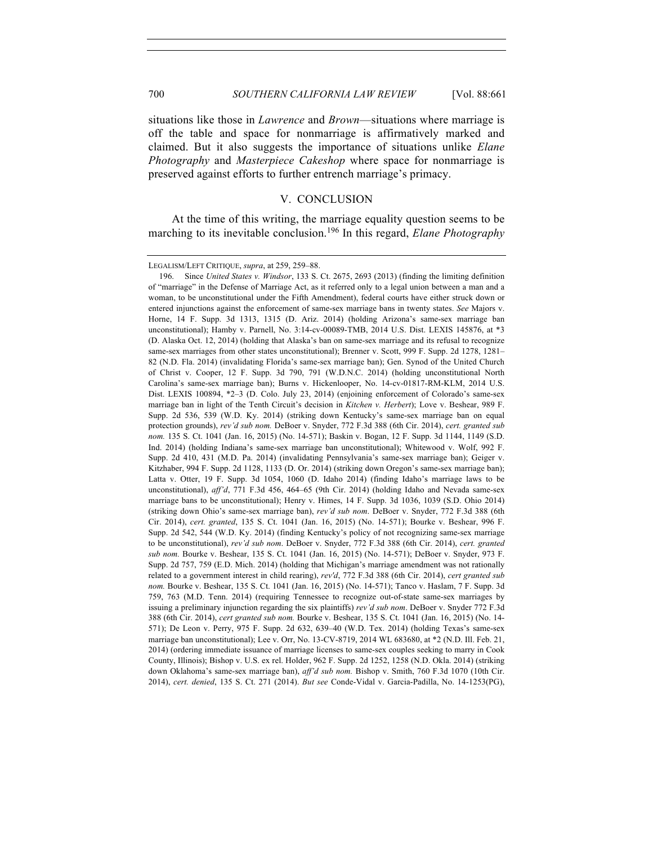situations like those in *Lawrence* and *Brown*—situations where marriage is off the table and space for nonmarriage is affirmatively marked and claimed. But it also suggests the importance of situations unlike *Elane Photography* and *Masterpiece Cakeshop* where space for nonmarriage is preserved against efforts to further entrench marriage's primacy.

# V. CONCLUSION

At the time of this writing, the marriage equality question seems to be marching to its inevitable conclusion.<sup>196</sup> In this regard, *Elane Photography* 

LEGALISM/LEFT CRITIQUE, *supra*, at 259, 259–88.

<sup>196.</sup> Since *United States v. Windsor*, 133 S. Ct. 2675, 2693 (2013) (finding the limiting definition of "marriage" in the Defense of Marriage Act, as it referred only to a legal union between a man and a woman, to be unconstitutional under the Fifth Amendment), federal courts have either struck down or entered injunctions against the enforcement of same-sex marriage bans in twenty states. *See* Majors v. Horne, 14 F. Supp. 3d 1313, 1315 (D. Ariz. 2014) (holding Arizona's same-sex marriage ban unconstitutional); Hamby v. Parnell, No. 3:14-cv-00089-TMB, 2014 U.S. Dist. LEXIS 145876, at \*3 (D. Alaska Oct. 12, 2014) (holding that Alaska's ban on same-sex marriage and its refusal to recognize same-sex marriages from other states unconstitutional); Brenner v. Scott, 999 F. Supp. 2d 1278, 1281– 82 (N.D. Fla. 2014) (invalidating Florida's same-sex marriage ban); Gen. Synod of the United Church of Christ v. Cooper, 12 F. Supp. 3d 790, 791 (W.D.N.C. 2014) (holding unconstitutional North Carolina's same-sex marriage ban); Burns v. Hickenlooper, No. 14-cv-01817-RM-KLM, 2014 U.S. Dist. LEXIS 100894, \*2–3 (D. Colo. July 23, 2014) (enjoining enforcement of Colorado's same-sex marriage ban in light of the Tenth Circuit's decision in *Kitchen v. Herbert*); Love v. Beshear, 989 F. Supp. 2d 536, 539 (W.D. Ky. 2014) (striking down Kentucky's same-sex marriage ban on equal protection grounds), *rev'd sub nom.* DeBoer v. Snyder, 772 F.3d 388 (6th Cir. 2014), *cert. granted sub nom.* 135 S. Ct. 1041 (Jan. 16, 2015) (No. 14-571); Baskin v. Bogan, 12 F. Supp. 3d 1144, 1149 (S.D. Ind. 2014) (holding Indiana's same-sex marriage ban unconstitutional); Whitewood v. Wolf, 992 F. Supp. 2d 410, 431 (M.D. Pa. 2014) (invalidating Pennsylvania's same-sex marriage ban); Geiger v. Kitzhaber, 994 F. Supp. 2d 1128, 1133 (D. Or. 2014) (striking down Oregon's same-sex marriage ban); Latta v. Otter, 19 F. Supp. 3d 1054, 1060 (D. Idaho 2014) (finding Idaho's marriage laws to be unconstitutional), *aff'd*, 771 F.3d 456, 464–65 (9th Cir. 2014) (holding Idaho and Nevada same-sex marriage bans to be unconstitutional); Henry v. Himes, 14 F. Supp. 3d 1036, 1039 (S.D. Ohio 2014) (striking down Ohio's same-sex marriage ban), *rev'd sub nom*. DeBoer v. Snyder, 772 F.3d 388 (6th Cir. 2014), *cert. granted*, 135 S. Ct. 1041 (Jan. 16, 2015) (No. 14-571); Bourke v. Beshear, 996 F. Supp. 2d 542, 544 (W.D. Ky. 2014) (finding Kentucky's policy of not recognizing same-sex marriage to be unconstitutional), *rev'd sub nom*. DeBoer v. Snyder, 772 F.3d 388 (6th Cir. 2014), *cert. granted sub nom.* Bourke v. Beshear, 135 S. Ct. 1041 (Jan. 16, 2015) (No. 14-571); DeBoer v. Snyder, 973 F. Supp. 2d 757, 759 (E.D. Mich. 2014) (holding that Michigan's marriage amendment was not rationally related to a government interest in child rearing), *rev'd*, 772 F.3d 388 (6th Cir. 2014), *cert granted sub nom.* Bourke v. Beshear, 135 S. Ct. 1041 (Jan. 16, 2015) (No. 14-571); Tanco v. Haslam, 7 F. Supp. 3d 759, 763 (M.D. Tenn. 2014) (requiring Tennessee to recognize out-of-state same-sex marriages by issuing a preliminary injunction regarding the six plaintiffs) *rev'd sub nom*. DeBoer v. Snyder 772 F.3d 388 (6th Cir. 2014), *cert granted sub nom.* Bourke v. Beshear, 135 S. Ct. 1041 (Jan. 16, 2015) (No. 14- 571); De Leon v. Perry, 975 F. Supp. 2d 632, 639–40 (W.D. Tex. 2014) (holding Texas's same-sex marriage ban unconstitutional); Lee v. Orr, No. 13-CV-8719, 2014 WL 683680, at \*2 (N.D. Ill. Feb. 21, 2014) (ordering immediate issuance of marriage licenses to same-sex couples seeking to marry in Cook County, Illinois); Bishop v. U.S. ex rel. Holder, 962 F. Supp. 2d 1252, 1258 (N.D. Okla. 2014) (striking down Oklahoma's same-sex marriage ban), *aff'd sub nom.* Bishop v. Smith, 760 F.3d 1070 (10th Cir. 2014), *cert. denied*, 135 S. Ct. 271 (2014). *But see* Conde-Vidal v. Garcia-Padilla, No. 14-1253(PG),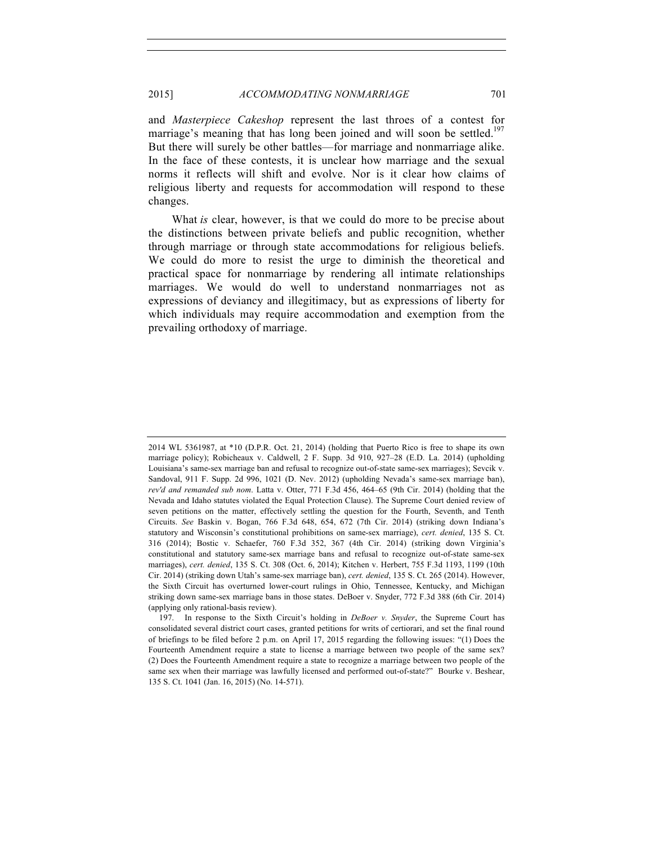and *Masterpiece Cakeshop* represent the last throes of a contest for marriage's meaning that has long been joined and will soon be settled.<sup>197</sup> But there will surely be other battles—for marriage and nonmarriage alike. In the face of these contests, it is unclear how marriage and the sexual norms it reflects will shift and evolve. Nor is it clear how claims of religious liberty and requests for accommodation will respond to these changes.

What *is* clear, however, is that we could do more to be precise about the distinctions between private beliefs and public recognition, whether through marriage or through state accommodations for religious beliefs. We could do more to resist the urge to diminish the theoretical and practical space for nonmarriage by rendering all intimate relationships marriages. We would do well to understand nonmarriages not as expressions of deviancy and illegitimacy, but as expressions of liberty for which individuals may require accommodation and exemption from the prevailing orthodoxy of marriage.

<sup>2014</sup> WL 5361987, at \*10 (D.P.R. Oct. 21, 2014) (holding that Puerto Rico is free to shape its own marriage policy); Robicheaux v. Caldwell, 2 F. Supp. 3d 910, 927–28 (E.D. La. 2014) (upholding Louisiana's same-sex marriage ban and refusal to recognize out-of-state same-sex marriages); Sevcik v. Sandoval, 911 F. Supp. 2d 996, 1021 (D. Nev. 2012) (upholding Nevada's same-sex marriage ban), *rev'd and remanded sub nom*. Latta v. Otter, 771 F.3d 456, 464–65 (9th Cir. 2014) (holding that the Nevada and Idaho statutes violated the Equal Protection Clause). The Supreme Court denied review of seven petitions on the matter, effectively settling the question for the Fourth, Seventh, and Tenth Circuits. *See* Baskin v. Bogan, 766 F.3d 648, 654, 672 (7th Cir. 2014) (striking down Indiana's statutory and Wisconsin's constitutional prohibitions on same-sex marriage), *cert. denied*, 135 S. Ct. 316 (2014); Bostic v. Schaefer, 760 F.3d 352, 367 (4th Cir. 2014) (striking down Virginia's constitutional and statutory same-sex marriage bans and refusal to recognize out-of-state same-sex marriages), *cert. denied*, 135 S. Ct. 308 (Oct. 6, 2014); Kitchen v. Herbert, 755 F.3d 1193, 1199 (10th Cir. 2014) (striking down Utah's same-sex marriage ban), *cert. denied*, 135 S. Ct. 265 (2014). However, the Sixth Circuit has overturned lower-court rulings in Ohio, Tennessee, Kentucky, and Michigan striking down same-sex marriage bans in those states. DeBoer v. Snyder, 772 F.3d 388 (6th Cir. 2014) (applying only rational-basis review).

<sup>197.</sup> In response to the Sixth Circuit's holding in *DeBoer v. Snyder*, the Supreme Court has consolidated several district court cases, granted petitions for writs of certiorari, and set the final round of briefings to be filed before 2 p.m. on April 17, 2015 regarding the following issues: "(1) Does the Fourteenth Amendment require a state to license a marriage between two people of the same sex? (2) Does the Fourteenth Amendment require a state to recognize a marriage between two people of the same sex when their marriage was lawfully licensed and performed out-of-state?" Bourke v. Beshear, 135 S. Ct. 1041 (Jan. 16, 2015) (No. 14-571).